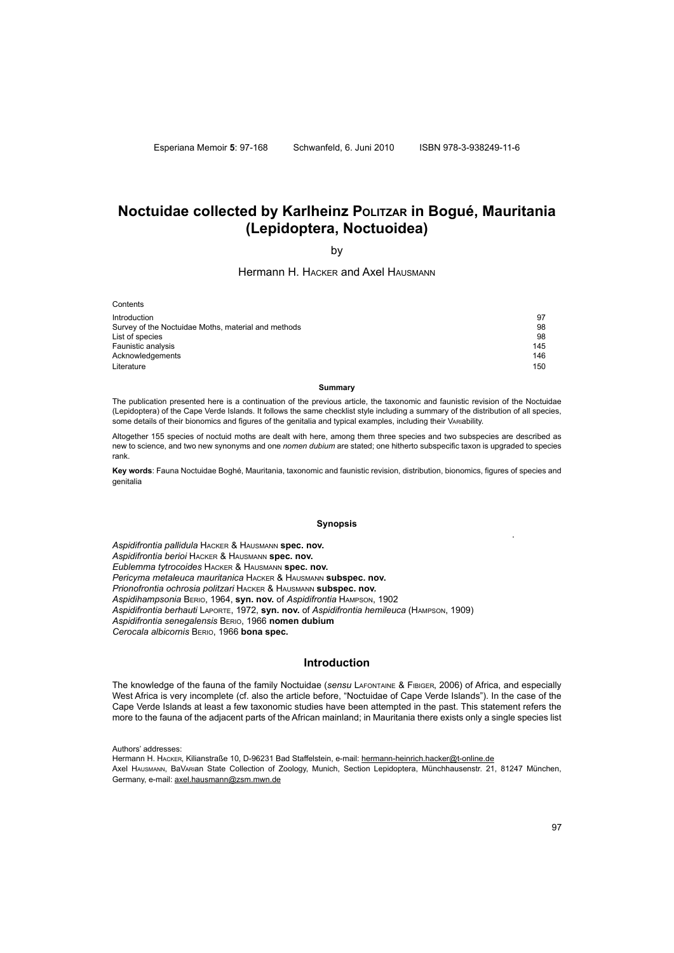Esperiana Memoir **5**: 97-168 Schwanfeld, 6. Juni 2010 ISBN 978-3-938249-11-6

# **Noctuidae collected by Karlheinz POLITZAR In Bogué, Mauritania (Lepidoptera, Noctuoidea)**

by

# Hermann H. Hacker and Axel Hausmann

**Contents** Introduction 97 Survey of the Noctuidae Moths, material and methods<br>
List of species<br>
98 List of species 98 Faunistic analysis 145 Acknowledgements Literature 150 and 150 and 150 and 150 and 150 and 150 and 150 and 150 and 150 and 150 and 150 and 150 and 150

#### **Summary**

The publication presented here is a continuation of the previous article, the taxonomic and faunistic revision of the Noctuidae (Lepidoptera) of the Cape Verde Islands. It follows the same checklist style including a summary of the distribution of all species, some details of their bionomics and figures of the genitalia and typical examples, including their VARIability.

Altogether 155 species of noctuid moths are dealt with here, among them three species and two subspecies are described as new to science, and two new synonyms and one *nomen dubium* are stated; one hitherto subspecific taxon is upgraded to species rank.

**Key words**: Fauna Noctuidae Boghé, Mauritania, taxonomic and faunistic revision, distribution, bionomics, figures of species and genitalia

### **Synopsis**

*Aspidifrontia pallidula* Hacker & Hausmann **spec. nov.** *Aspidifrontia berioi* Hacker & Hausmann **spec. nov.** *Eublemma tytrocoides* Hacker & Hausmann **spec. nov.** *Pericyma metaleuca mauritanica* Hacker & Hausmann **subspec. nov.** *Prionofrontia ochrosia politzari* Hacker & Hausmann **subspec. nov.** *Aspidihampsonia* Berio, 1964, **syn. nov.** of *Aspidifrontia* Hampson, 1902 *Aspidifrontia berhauti* Laporte, 1972, **syn. nov.** of *Aspidifrontia hemileuca* (Hampson, 1909) *Aspidifrontia senegalensis* Berio, 1966 **nomen dubium** *Cerocala albicornis* Berio, 1966 **bona spec.**

# **Introduction**

The knowledge of the fauna of the family Noctuidae (*sensu* Lafontaine & Fibiger, 2006) of Africa, and especially West Africa is very incomplete (cf. also the article before, "Noctuidae of Cape Verde Islands"). In the case of the Cape Verde Islands at least a few taxonomic studies have been attempted in the past. This statement refers the more to the fauna of the adjacent parts of the African mainland; in Mauritania there exists only a single species list

Authors' addresses:

Hermann H. HACKER, Kilianstraße 10, D-96231 Bad Staffelstein, e-mail: hermann-heinrich.hacker@t-online.de Axel Hausmann, BaVarian State Collection of Zoology, Munich, Section Lepidoptera, Münchhausenstr. 21, 81247 München, Germany, e-mail: axel.hausmann@zsm.mwn.de

.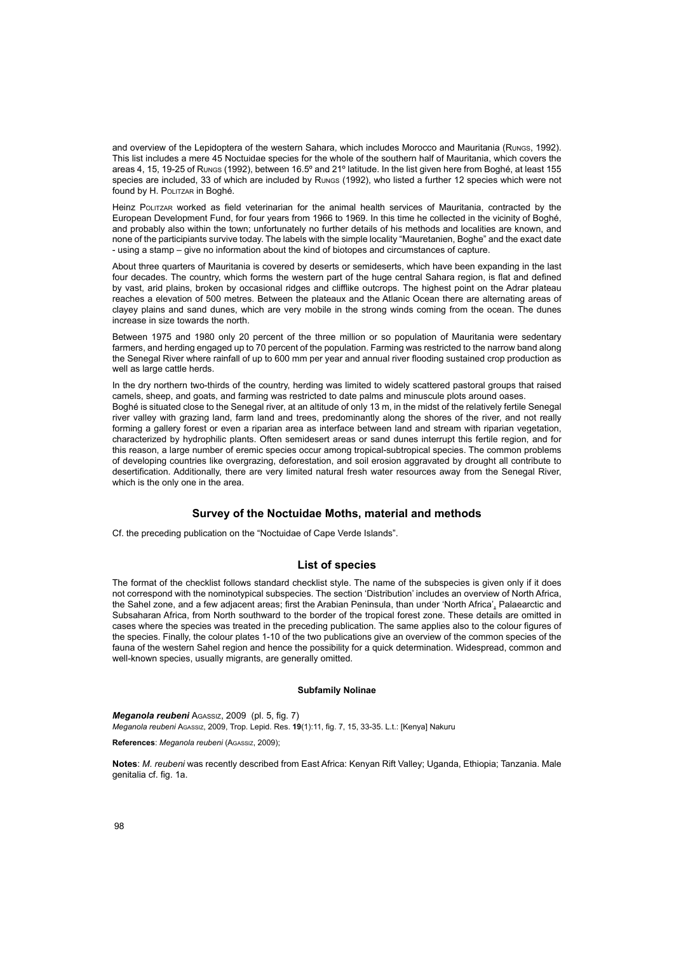and overview of the Lepidoptera of the western Sahara, which includes Morocco and Mauritania (Rungs, 1992). This list includes a mere 45 Noctuidae species for the whole of the southern half of Mauritania, which covers the areas 4, 15, 19-25 of Rungs (1992), between 16.5º and 21º latitude. In the list given here from Boghé, at least 155 species are included, 33 of which are included by Rungs (1992), who listed a further 12 species which were not found by H. POLITZAR in Boghé.

Heinz Politzar worked as field veterinarian for the animal health services of Mauritania, contracted by the European Development Fund, for four years from 1966 to 1969. In this time he collected in the vicinity of Boghé, and probably also within the town; unfortunately no further details of his methods and localities are known, and none of the participiants survive today. The labels with the simple locality "Mauretanien, Boghe" and the exact date - using a stamp – give no information about the kind of biotopes and circumstances of capture.

About three quarters of Mauritania is covered by deserts or semideserts, which have been expanding in the last four decades. The country, which forms the western part of the huge central Sahara region, is flat and defined by vast, arid plains, broken by occasional ridges and clifflike outcrops. The highest point on the Adrar plateau reaches a elevation of 500 metres. Between the plateaux and the Atlanic Ocean there are alternating areas of clayey plains and sand dunes, which are very mobile in the strong winds coming from the ocean. The dunes increase in size towards the north.

Between 1975 and 1980 only 20 percent of the three million or so population of Mauritania were sedentary farmers, and herding engaged up to 70 percent of the population. Farming was restricted to the narrow band along the Senegal River where rainfall of up to 600 mm per year and annual river flooding sustained crop production as well as large cattle herds.

In the dry northern two-thirds of the country, herding was limited to widely scattered pastoral groups that raised camels, sheep, and goats, and farming was restricted to date palms and minuscule plots around oases. Boghé is situated close to the Senegal river, at an altitude of only 13 m, in the midst of the relatively fertile Senegal river valley with grazing land, farm land and trees, predominantly along the shores of the river, and not really forming a gallery forest or even a riparian area as interface between land and stream with riparian vegetation, characterized by hydrophilic plants. Often semidesert areas or sand dunes interrupt this fertile region, and for this reason, a large number of eremic species occur among tropical-subtropical species. The common problems of developing countries like overgrazing, deforestation, and soil erosion aggravated by drought all contribute to desertification. Additionally, there are very limited natural fresh water resources away from the Senegal River, which is the only one in the area.

# **Survey of the Noctuidae Moths, material and methods**

Cf. the preceding publication on the "Noctuidae of Cape Verde Islands".

# **List of species**

The format of the checklist follows standard checklist style. The name of the subspecies is given only if it does not correspond with the nominotypical subspecies. The section 'Distribution' includes an overview of North Africa, the Sahel zone, and a few adjacent areas; first the Arabian Peninsula, than under 'North Africa', Palaearctic and Subsaharan Africa, from North southward to the border of the tropical forest zone. These details are omitted in cases where the species was treated in the preceding publication. The same applies also to the colour figures of the species. Finally, the colour plates 1-10 of the two publications give an overview of the common species of the fauna of the western Sahel region and hence the possibility for a quick determination. Widespread, common and well-known species, usually migrants, are generally omitted.

# **Subfamily Nolinae**

*Meganola reubeni* Agassiz, 2009 (pl. 5, fig. 7)

*Meganola reubeni* Agassiz, 2009, Trop. Lepid. Res. **19**(1):11, fig. 7, 15, 33-35. L.t.: [Kenya] Nakuru

**References**: *Meganola reubeni* (Agassiz, 2009);

**Notes**: *M. reubeni* was recently described from East Africa: Kenyan Rift Valley; Uganda, Ethiopia; Tanzania. Male genitalia cf. fig. 1a.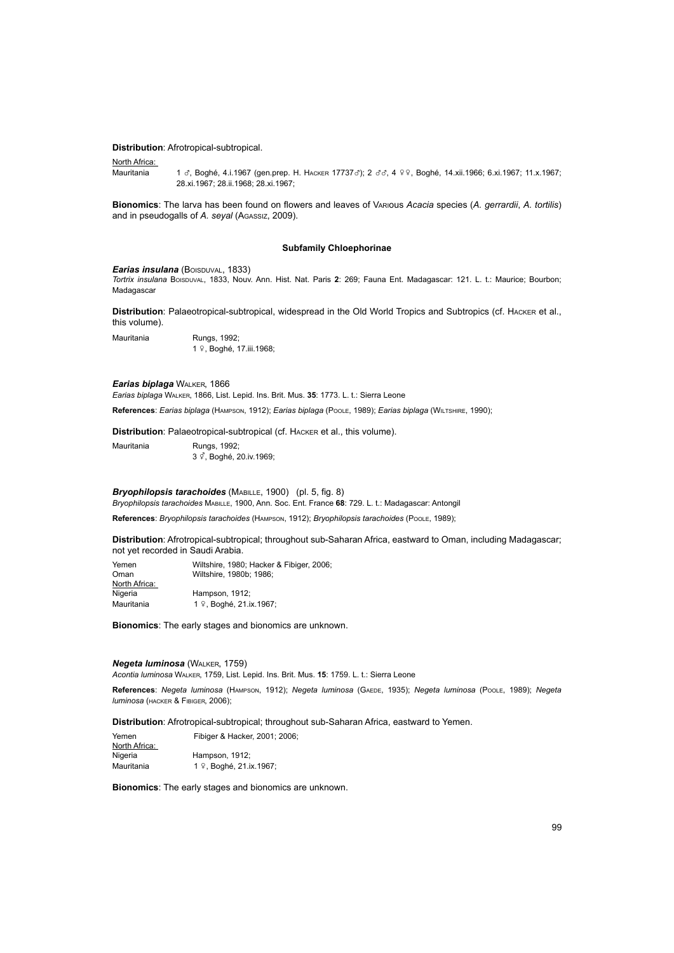### **Distribution**: Afrotropical-subtropical.

# North Africa:

Mauritania 1 &, Boghé, 4.i.1967 (gen.prep. H. HACKER 17737&); 2 & 4 º 9, Boghé, 14.xii.1966; 6.xi.1967; 11.x.1967; 28.xi.1967; 28.ii.1968; 28.xi.1967;

**Bionomics**: The larva has been found on flowers and leaves of Various *Acacia* species (*A. gerrardii*, *A. tortilis*) and in pseudogalls of *A. seyal* (Agassiz, 2009).

# **Subfamily Chloephorinae**

#### *Earias insulana* (BOISDUVAL, 1833)

*Tortrix insulana* Boisduval, 1833, Nouv. Ann. Hist. Nat. Paris **2**: 269; Fauna Ent. Madagascar: 121. L. t.: Maurice; Bourbon; Madagascar

**Distribution**: Palaeotropical-subtropical, widespread in the Old World Tropics and Subtropics (cf. Hacker et al., this volume).

Mauritania Rungs, 1992; <sup>1</sup>w, Boghé, 17.iii.1968;

# *Earias biplaga* Walker, 1866

*Earias biplaga* Walker, 1866, List. Lepid. Ins. Brit. Mus. **35**: 1773. L. t.: Sierra Leone

**References**: *Earias biplaga* (Hampson, 1912); *Earias biplaga* (Poole, 1989); *Earias biplaga* (Wiltshire, 1990);

**Distribution**: Palaeotropical-subtropical (cf. Hacker et al., this volume).

Mauritania Rungs, 1992: 3<sup> $\vec{\varphi}$ </sup>, Boghé, 20.iv.1969;

# **Bryophilopsis tarachoides** (MABILLE, 1900) (pl. 5, fig. 8)

*Bryophilopsis tarachoides* Mabille, 1900, Ann. Soc. Ent. France **68**: 729. L. t.: Madagascar: Antongil

**References**: *Bryophilopsis tarachoides* (Hampson, 1912); *Bryophilopsis tarachoides* (Poole, 1989);

**Distribution**: Afrotropical-subtropical; throughout sub-Saharan Africa, eastward to Oman, including Madagascar; not yet recorded in Saudi Arabia.

| Wiltshire, 1980; Hacker & Fibiger, 2006; |
|------------------------------------------|
| Wiltshire, 1980b: 1986:                  |
|                                          |
| Hampson, 1912:                           |
| 1 º, Boghé, 21.ix.1967;                  |
|                                          |

**Bionomics**: The early stages and bionomics are unknown.

# *Negeta luminosa* (Walker, 1759)

*Acontia luminosa* Walker, 1759, List. Lepid. Ins. Brit. Mus. **15**: 1759. L. t.: Sierra Leone

**References**: *Negeta luminosa* (Hampson, 1912); *Negeta luminosa* (Gaede, 1935); *Negeta luminosa* (Poole, 1989); *Negeta luminosa* (hacker & Fibiger, 2006);

**Distribution**: Afrotropical-subtropical; throughout sub-Saharan Africa, eastward to Yemen.

| Yemen         | Fibiger & Hacker, 2001; 2006; |  |  |
|---------------|-------------------------------|--|--|
| North Africa: |                               |  |  |
| Nigeria       | Hampson, 1912;                |  |  |
| Mauritania    | 1 º, Boghé, 21.ix.1967;       |  |  |

**Bionomics**: The early stages and bionomics are unknown.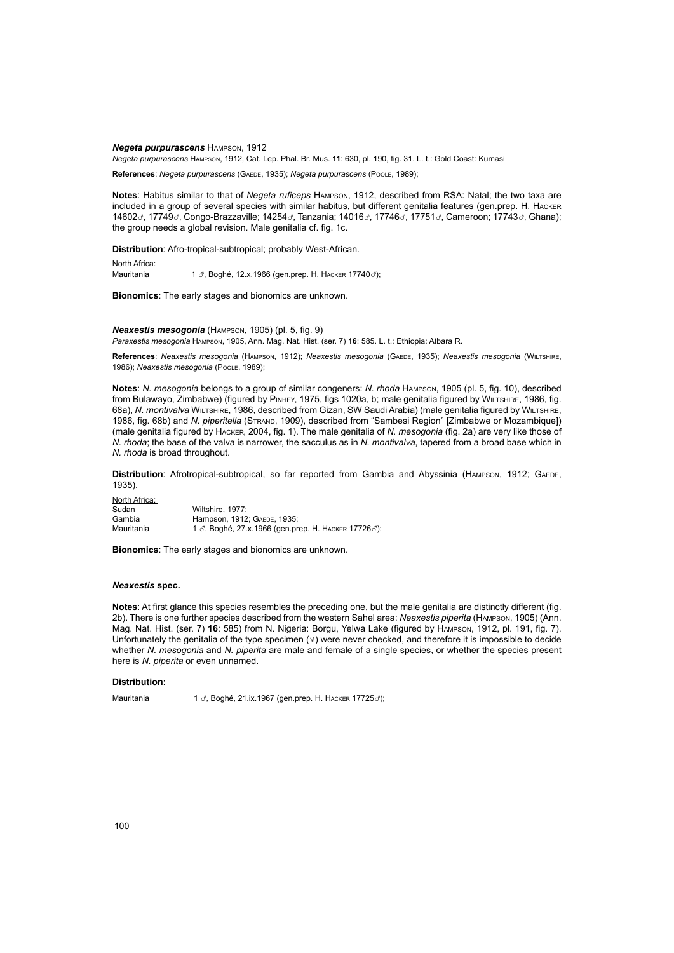*Negeta purpurascens* Hampson, 1912

*Negeta purpurascens* Hampson, 1912, Cat. Lep. Phal. Br. Mus. **11**: 630, pl. 190, fig. 31. L. t.: Gold Coast: Kumasi

**References**: *Negeta purpurascens* (Gaede, 1935); *Negeta purpurascens* (Poole, 1989);

**Notes**: Habitus similar to that of *Negeta ruficeps* Hampson, 1912, described from RSA: Natal; the two taxa are included in a group of several species with similar habitus, but different genitalia features (gen.prep. H. Hacker 14602 $\sigma$ , 17749 $\sigma$ , Congo-Brazzaville; 14254 $\sigma$ , Tanzania; 14016 $\sigma$ , 17746 $\sigma$ , 17751 $\sigma$ , Cameroon; 17743 $\sigma$ , Ghana); the group needs a global revision. Male genitalia cf. fig. 1c.

**Distribution**: Afro-tropical-subtropical; probably West-African.

North Africa: Mauritania 1 ₫, Boghé, 12.x.1966 (gen.prep. Н. Наскев 17740 ₫);

**Bionomics**: The early stages and bionomics are unknown.

*Neaxestis mesogonia* (Hampson, 1905) (pl. 5, fig. 9) *Paraxestis mesogonia* Hampson, 1905, Ann. Mag. Nat. Hist. (ser. 7) **16**: 585. L. t.: Ethiopia: Atbara R.

**References**: *Neaxestis mesogonia* (Hampson, 1912); *Neaxestis mesogonia* (Gaede, 1935); *Neaxestis mesogonia* (Wiltshire, 1986); *Neaxestis mesogonia* (Poole, 1989);

**Notes**: *N. mesogonia* belongs to a group of similar congeners: *N. rhoda* Hampson, 1905 (pl. 5, fig. 10), described from Bulawayo, Zimbabwe) (figured by PINHEY, 1975, figs 1020a, b; male genitalia figured by WILTSHIRE, 1986, fig. 68a), *N. montivalva* Wiltshire, 1986, described from Gizan, SW Saudi Arabia) (male genitalia figured by Wiltshire, 1986, fig. 68b) and *N. piperitella* (Strand, 1909), described from "Sambesi Region" [Zimbabwe or Mozambique]) (male genitalia figured by Hacker, 2004, fig. 1). The male genitalia of *N. mesogonia* (fig. 2a) are very like those of *N. rhoda*; the base of the valva is narrower, the sacculus as in *N. montivalva*, tapered from a broad base which in *N. rhoda* is broad throughout.

Distribution: Afrotropical-subtropical, so far reported from Gambia and Abyssinia (HAMPSON, 1912; GAEDE, 1935).

North Africa: Sudan Wiltshire, 1977; Gambia Hampson, 1912; Gaede, 1935;  $\frac{1}{3}$ , Boghé, 27.x.1966 (gen.prep. H. HACKER 17726 $\sigma$ );

**Bionomics**: The early stages and bionomics are unknown.

# *Neaxestis* **spec.**

**Notes**: At first glance this species resembles the preceding one, but the male genitalia are distinctly different (fig. 2b). There is one further species described from the western Sahel area: *Neaxestis piperita* (Hampson, 1905) (Ann. Mag. Nat. Hist. (ser. 7) **16**: 585) from N. Nigeria: Borgu, Yelwa Lake (figured by Hampson, 1912, pl. 191, fig. 7). Unfortunately the genitalia of the type specimen  $(9)$  were never checked, and therefore it is impossible to decide whether *N. mesogonia* and *N. piperita* are male and female of a single species, or whether the species present here is *N. piperita* or even unnamed.

### **Distribution:**

Mauritania 1 ₫, Boghé, 21.ix.1967 (gen.prep. Н. Наскев 17725₫);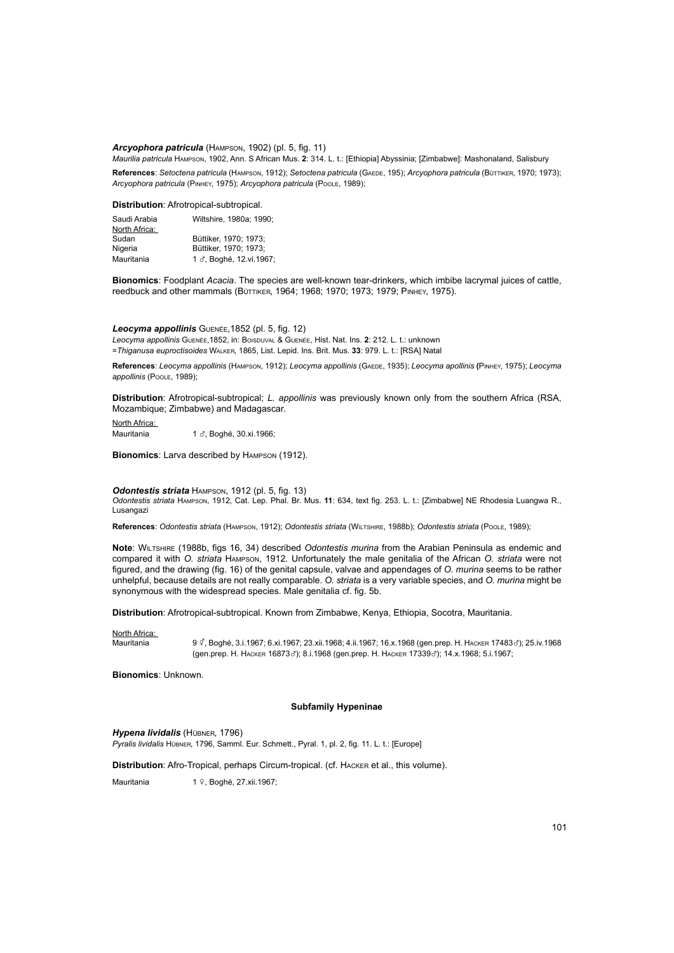### *Arcyophora patricula* (Hampson, 1902) (pl. 5, fig. 11)

*Maurilia patricula* Hampson, 1902, Ann. S African Mus. **2**: 314. L. t.: [Ethiopia] Abyssinia; [Zimbabwe]: Mashonaland, Salisbury **References**: *Setoctena patricula* (Hampson, 1912); *Setoctena patricula* (Gaede, 195); *Arcyophora patricula* (Büttiker, 1970; 1973); *Arcyophora patricula* (Pinhey, 1975); *Arcyophora patricula* (Poole, 1989);

# **Distribution**: Afrotropical-subtropical.

| Saudi Arabia  | Wiltshire, 1980a: 1990: |
|---------------|-------------------------|
| North Africa: |                         |
| Sudan         | Büttiker, 1970: 1973:   |
| Nigeria       | Büttiker, 1970: 1973:   |
| Mauritania    | 1 3, Boghé, 12.vi.1967; |

**Bionomics**: Foodplant *Acacia*. The species are well-known tear-drinkers, which imbibe lacrymal juices of cattle, reedbuck and other mammals (BÜTTIKER, 1964; 1968; 1970; 1973; 1979; PINHEY, 1975).

*Leocyma appollinis* Guenée,1852 (pl. 5, fig. 12) *Leocyma appollinis* Guenée,1852, in: Boisduval & Guenée, Hist. Nat. Ins. **2**: 212. L. t.: unknown =*Thiganusa euproctisoides* Walker, 1865, List. Lepid. Ins. Brit. Mus. **33**: 979. L. t.: [RSA] Natal

**References**: *Leocyma appollinis* (Hampson, 1912); *Leocyma appollinis* (Gaede, 1935); *Leocyma apollinis* **(**Pinhey, 1975); *Leocyma appollinis* (Poole, 1989);

**Distribution**: Afrotropical-subtropical; *L. appollinis* was previously known only from the southern Africa (RSA, Mozambique; Zimbabwe) and Madagascar.

North Africa: Mauritania 1 d, Boghé, 30.xi.1966;

**Bionomics**: Larva described by Hampson (1912).

### *Odontestis striata* Hampson, 1912 (pl. 5, fig. 13)

*Odontestis striata* Hampson, 1912, Cat. Lep. Phal. Br. Mus. **11**: 634, text fig. 253. L. t.: [Zimbabwe] NE Rhodesia Luangwa R., Lusangazi

**References**: *Odontestis striata* (Hampson, 1912); *Odontestis striata* (Wiltshire, 1988b); *Odontestis striata* (Poole, 1989);

**Note**: Wiltshire (1988b, figs 16, 34) described *Odontestis murina* from the Arabian Peninsula as endemic and compared it with *O. striata* Hampson, 1912. Unfortunately the male genitalia of the African *O. striata* were not figured, and the drawing (fig. 16) of the genital capsule, valvae and appendages of *O. murina* seems to be rather unhelpful, because details are not really comparable. *O. striata* is a very variable species, and *O. murina* might be synonymous with the widespread species. Male genitalia cf. fig. 5b.

**Distribution**: Afrotropical-subtropical. Known from Zimbabwe, Kenya, Ethiopia, Socotra, Mauritania.

North Africa:

Mauritania 9 y, Boghé, 3.i.1967; 6.xi.1967; 23.xii.1968; 4.ii.1967; 16.x.1968 (gen.prep. H. Hacker 17483x); 25.iv.1968 (gen.prep. Н. Наскек 16873c3); 8.i.1968 (gen.prep. Н. Наскек 17339c3); 14.x.1968; 5.i.1967;

**Bionomics**: Unknown.

### **Subfamily Hypeninae**

*Hypena lividalis* (Hübner, 1796) *Pyralis lividalis* Hübner, 1796, Samml. Eur. Schmett., Pyral. 1, pl. 2, fig. 11. L. t.: [Europe]

**Distribution**: Afro-Tropical, perhaps Circum-tropical. (cf. Hacker et al., this volume).

Mauritania 1 º, Boghé, 27.xii.1967;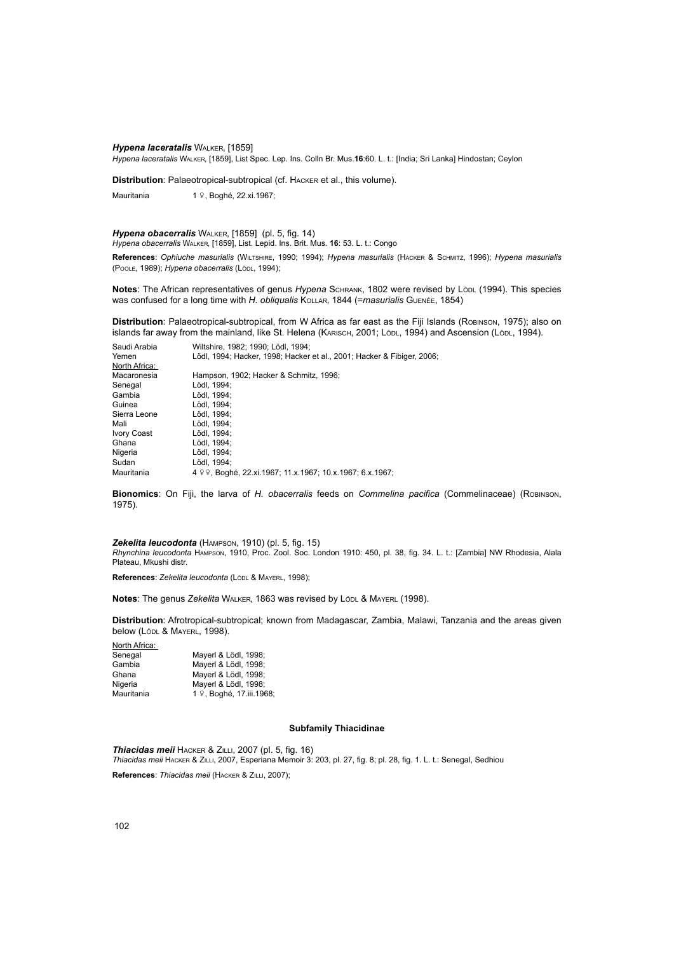### *Hypena laceratalis* Walker, [1859]

*Hypena laceratalis* Walker, [1859], List Spec. Lep. Ins. Colln Br. Mus.**16**:60. L. t.: [India; Sri Lanka] Hindostan; Ceylon

**Distribution**: Palaeotropical-subtropical (cf. Hacker et al., this volume).

Mauritania 1 º, Boghé, 22.xi.1967;

# *Hypena obacerralis* Walker, [1859] (pl. 5, fig. 14)

*Hypena obacerralis* Walker, [1859], List. Lepid. Ins. Brit. Mus. **16**: 53. L. t.: Congo

**References**: *Ophiuche masurialis* (Wiltshire, 1990; 1994); *Hypena masurialis* (Hacker & Schmitz, 1996); *Hypena masurialis*  (Poole, 1989); *Hypena obacerralis* (Lödl, 1994);

**Notes**: The African representatives of genus Hypena SCHRANK, 1802 were revised by Lödl (1994). This species was confused for a long time with *H. obliqualis* Kollar, 1844 (=*masurialis* Guenée, 1854)

**Distribution**: Palaeotropical-subtropical, from W Africa as far east as the Fiji Islands (Robinson, 1975); also on islands far away from the mainland, like St. Helena (KARISCH, 2001; Lödl, 1994) and Ascension (Lödl, 1994).

| Saudi Arabia  | Wiltshire, 1982; 1990; Lödl, 1994;                                     |
|---------------|------------------------------------------------------------------------|
| Yemen         | Lödl, 1994; Hacker, 1998; Hacker et al., 2001; Hacker & Fibiger, 2006; |
| North Africa: |                                                                        |
| Macaronesia   | Hampson, 1902; Hacker & Schmitz, 1996;                                 |
| Senegal       | Lödl. 1994:                                                            |
| Gambia        | Lödl, 1994;                                                            |
| Guinea        | Lödl, 1994;                                                            |
| Sierra Leone  | Lödl. 1994:                                                            |
| Mali          | Lödl, 1994;                                                            |
| Ivory Coast   | Lödl. 1994:                                                            |
| Ghana         | Lödl. 1994:                                                            |
| Nigeria       | Lödl, 1994;                                                            |
| Sudan         | Lödl. 1994:                                                            |
| Mauritania    | 4 º º, Boghé, 22.xi.1967; 11.x.1967; 10.x.1967; 6.x.1967;              |
|               |                                                                        |

**Bionomics**: On Fiji, the larva of *H. obacerralis* feeds on *Commelina pacifica* (Commelinaceae) (Robinson, 1975).

### *Zekelita leucodonta* (Hampson, 1910) (pl. 5, fig. 15)

*Rhynchina leucodonta* Hampson, 1910, Proc. Zool. Soc. London 1910: 450, pl. 38, fig. 34. L. t.: [Zambia] NW Rhodesia, Alala Plateau, Mkushi distr.

**References**: *Zekelita leucodonta* (Lödl & Mayerl, 1998);

**Notes:** The genus Zekelita WALKER, 1863 was revised by Lödl & MAYERL (1998).

**Distribution**: Afrotropical-subtropical; known from Madagascar, Zambia, Malawi, Tanzania and the areas given below (Lödl & MAYERL, 1998).

North Africa:

| Senegal    | Mayerl & Lödl, 1998;     |
|------------|--------------------------|
| Gambia     | Mayerl & Lödl, 1998;     |
| Ghana      | Mayerl & Lödl, 1998;     |
| Nigeria    | Mayerl & Lödl, 1998;     |
| Mauritania | 1 º, Boghé, 17.iii.1968; |

### **Subfamily Thiacidinae**

*Thiacidas meii* Hacker & Zilli, 2007 (pl. 5, fig. 16) *Thiacidas meii* Hacker & Zilli, 2007, Esperiana Memoir 3: 203, pl. 27, fig. 8; pl. 28, fig. 1. L. t.: Senegal, Sedhiou

**References**: *Thiacidas meii* (Hacker & Zilli, 2007);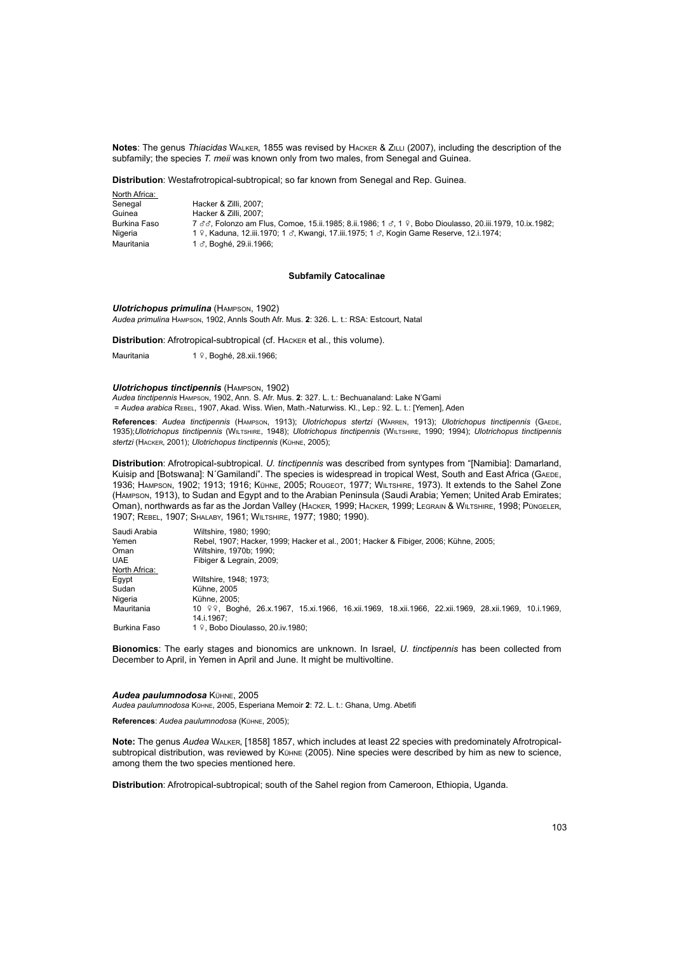**Notes**: The genus *Thiacidas* Walker, 1855 was revised by Hacker & Zilli (2007), including the description of the subfamily; the species *T. meii* was known only from two males, from Senegal and Guinea.

**Distribution**: Westafrotropical-subtropical; so far known from Senegal and Rep. Guinea.

| North Africa: |                                                                                                         |
|---------------|---------------------------------------------------------------------------------------------------------|
| Senegal       | Hacker & Zilli, 2007:                                                                                   |
| Guinea        | Hacker & Zilli, 2007:                                                                                   |
| Burkina Faso  | 7 ♂♂. Folonzo am Flus. Comoe. 15.ii.1985: 8.ii.1986: 1 ♂. 1 ♀. Bobo Dioulasso. 20.iii.1979. 10.ix.1982: |
| Nigeria       | 1 º, Kaduna, 12.iii.1970; 1 3, Kwangi, 17.iii.1975; 1 3, Kogin Game Reserve, 12.i.1974;                 |
| Mauritania    | 1 3. Boghé, 29.ii.1966:                                                                                 |

# **Subfamily Catocalinae**

*Ulotrichopus primulina* (Hampson, 1902) *Audea primulina* Hampson, 1902, Annls South Afr. Mus. **2**: 326. L. t.: RSA: Estcourt, Natal

**Distribution**: Afrotropical-subtropical (cf. Hacker et al., this volume).

Mauritania 1 º, Boghé, 28.xii.1966;

#### *Ulotrichopus tinctipennis* (Hampson, 1902)

*Audea tinctipennis* Hampson, 1902, Ann. S. Afr. Mus. **2**: 327. L. t.: Bechuanaland: Lake N'Gami = *Audea arabica* Rebel, 1907, Akad. Wiss. Wien, Math.-Naturwiss. Kl., Lep.: 92. L. t.: [Yemen], Aden

**References**: *Audea tinctipennis* (Hampson, 1913); *Ulotrichopus stertzi* (Warren, 1913); *Ulotrichopus tinctipennis* (Gaede, 1935);*Ulotrichopus tinctipennis* (Wiltshire, 1948); *Ulotrichopus tinctipennis* (Wiltshire, 1990; 1994); *Ulotrichopus tinctipennis stertzi* (Hacker, 2001); *Ulotrichopus tinctipennis* (Kühne, 2005);

**Distribution**: Afrotropical-subtropical. *U. tinctipennis* was described from syntypes from "[Namibia]: Damarland, Kuisip and [Botswana]: N'Gamilandi". The species is widespread in tropical West, South and East Africa (GAEDE, 1936; Hampson, 1902; 1913; 1916; Kühne, 2005; Rougeot, 1977; Wiltshire, 1973). It extends to the Sahel Zone (Hampson, 1913), to Sudan and Egypt and to the Arabian Peninsula (Saudi Arabia; Yemen; United Arab Emirates; Oman), northwards as far as the Jordan Valley (Hacker, 1999; Hacker, 1999; Legrain & Wiltshire, 1998; Püngeler, 1907; Rebel, 1907; Shalaby, 1961; Wiltshire, 1977; 1980; 1990).

| Saudi Arabia  | Wiltshire, 1980; 1990;                                                                               |
|---------------|------------------------------------------------------------------------------------------------------|
| Yemen         | Rebel, 1907; Hacker, 1999; Hacker et al., 2001; Hacker & Fibiger, 2006; Kühne, 2005;                 |
| Oman          | Wiltshire, 1970b: 1990:                                                                              |
| <b>UAE</b>    | Fibiger & Legrain, 2009;                                                                             |
| North Africa: |                                                                                                      |
| Egypt         | Wiltshire, 1948: 1973:                                                                               |
| Sudan         | Kühne, 2005                                                                                          |
| Nigeria       | Kühne, 2005;                                                                                         |
| Mauritania    | 10 º º. Boghé, 26.x.1967, 15.xi.1966, 16.xii.1969, 18.xii.1966, 22.xii.1969, 28.xii.1969, 10.i.1969, |
|               | 14.i.1967:                                                                                           |
| Burkina Faso  | 1 9. Bobo Dioulasso, 20.iv.1980:                                                                     |

**Bionomics**: The early stages and bionomics are unknown. In Israel, *U. tinctipennis* has been collected from December to April, in Yemen in April and June. It might be multivoltine.

### *Audea paulumnodosa* Kühne, 2005

*Audea paulumnodosa* Kühne, 2005, Esperiana Memoir **2**: 72. L. t.: Ghana, Umg. Abetifi

**References**: *Audea paulumnodosa* (Kühne, 2005);

**Note:** The genus *Audea* Walker, [1858] 1857, which includes at least 22 species with predominately Afrotropicalsubtropical distribution, was reviewed by Kühne (2005). Nine species were described by him as new to science, among them the two species mentioned here.

**Distribution**: Afrotropical-subtropical; south of the Sahel region from Cameroon, Ethiopia, Uganda.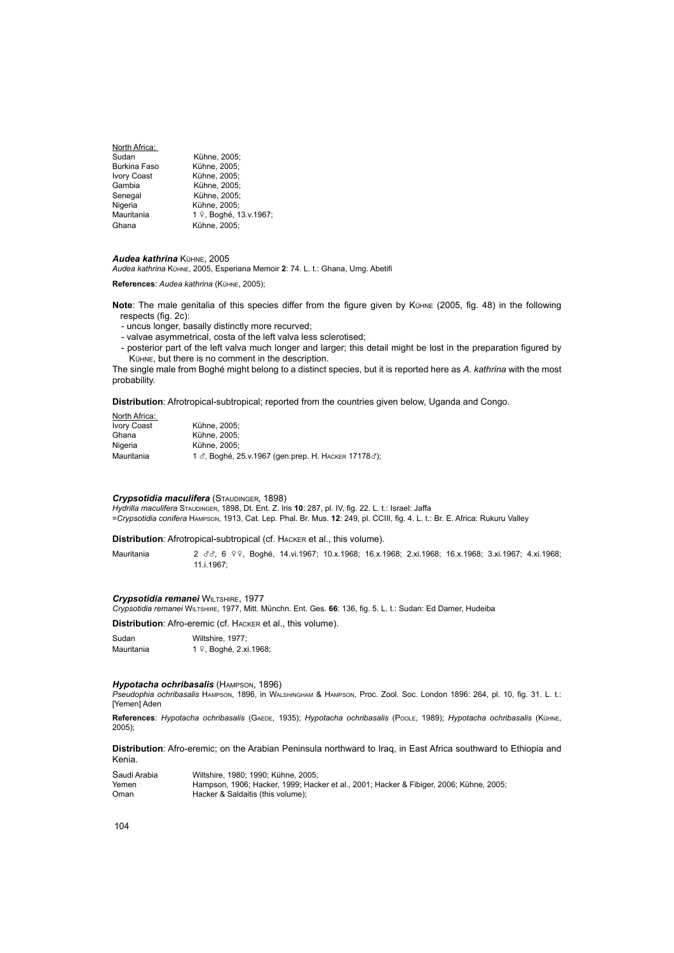| North Africa:       |                        |
|---------------------|------------------------|
| Sudan               | Kühne, 2005:           |
| <b>Burkina Faso</b> | Kühne, 2005;           |
| <b>Ivory Coast</b>  | Kühne, 2005;           |
| Gambia              | Kühne, 2005:           |
| Senegal             | Kühne, 2005:           |
| Nigeria             | Kühne, 2005;           |
| Mauritania          | 1 º, Boghé, 13.v.1967; |
| Ghana               | Kühne, 2005:           |

# *Audea kathrina* Kühne, 2005

*Audea kathrina* Kühne, 2005, Esperiana Memoir **2**: 74. L. t.: Ghana, Umg. Abetifi

**References**: *Audea kathrina* (Kühne, 2005);

**Note**: The male genitalia of this species differ from the figure given by Kühne (2005, fig. 48) in the following respects (fig. 2c):

- uncus longer, basally distinctly more recurved;
- valvae asymmetrical, costa of the left valva less sclerotised;
- posterior part of the left valva much longer and larger; this detail might be lost in the preparation figured by Kühne, but there is no comment in the description.

The single male from Boghé might belong to a distinct species, but it is reported here as *A. kathrina* with the most probability.

**Distribution**: Afrotropical-subtropical; reported from the countries given below, Uganda and Congo.

| North Africa:      |                                                     |
|--------------------|-----------------------------------------------------|
| <b>Ivory Coast</b> | Kühne, 2005:                                        |
| Ghana              | Kühne, 2005:                                        |
| Nigeria            | Kühne, 2005:                                        |
| Mauritania         | 1 ♂, Boghé, 25.v.1967 (gen.prep. Н. Наскев 17178♂); |

### **Crypsotidia maculifera** (STAUDINGER, 1898)

*Hydrilla maculifera* Staudinger, 1898, Dt. Ent. Z. Iris **10**: 287, pl. IV, fig. 22. L. t.: Israel: Jaffa =*Crypsotidia conifera* Hampson, 1913, Cat. Lep. Phal. Br. Mus. **12**: 249, pl. CCIII, fig. 4. L. t.: Br. E. Africa: Rukuru Valley

**Distribution**: Afrotropical-subtropical (cf. Hacker et al., this volume).

Mauritania 2 3 3 e 99, Boghé, 14.vi.1967; 10.x.1968; 16.x.1968; 2.xi.1968; 16.x.1968; 3.xi.1967; 4.xi.1968; 11.i.1967;

### *Crypsotidia remanei* Wiltshire, 1977

*Crypsotidia remanei* Wiltshire, 1977, Mitt. Münchn. Ent. Ges. **66**: 136, fig. 5. L. t.: Sudan: Ed Damer, Hudeiba

**Distribution**: Afro-eremic (cf. Hacker et al., this volume).

Sudan Wiltshire, 1977;<br>
Mauritania 1 º, Boghé, 2.xi 1 º, Boghé, 2.xi.1968;

### *Hypotacha ochribasalis* (Hampson, 1896)

*Pseudophia ochribasalis* Hampson, 1896, in Walshingham & Hampson, Proc. Zool. Soc. London 1896: 264, pl. 10, fig. 31. L. t.: [Yemen] Aden

**References**: *Hypotacha ochribasalis* (Gaede, 1935); *Hypotacha ochribasalis* (Poole, 1989); *Hypotacha ochribasalis* (Kühne, 2005);

**Distribution**: Afro-eremic; on the Arabian Peninsula northward to Iraq, in East Africa southward to Ethiopia and Kenia.

| Saudi Arabia | Wiltshire, 1980: 1990: Kühne, 2005:                                                    |
|--------------|----------------------------------------------------------------------------------------|
| Yemen        | Hampson, 1906; Hacker, 1999; Hacker et al., 2001; Hacker & Fibiger, 2006; Kühne, 2005; |
| Oman         | Hacker & Saldaitis (this volume);                                                      |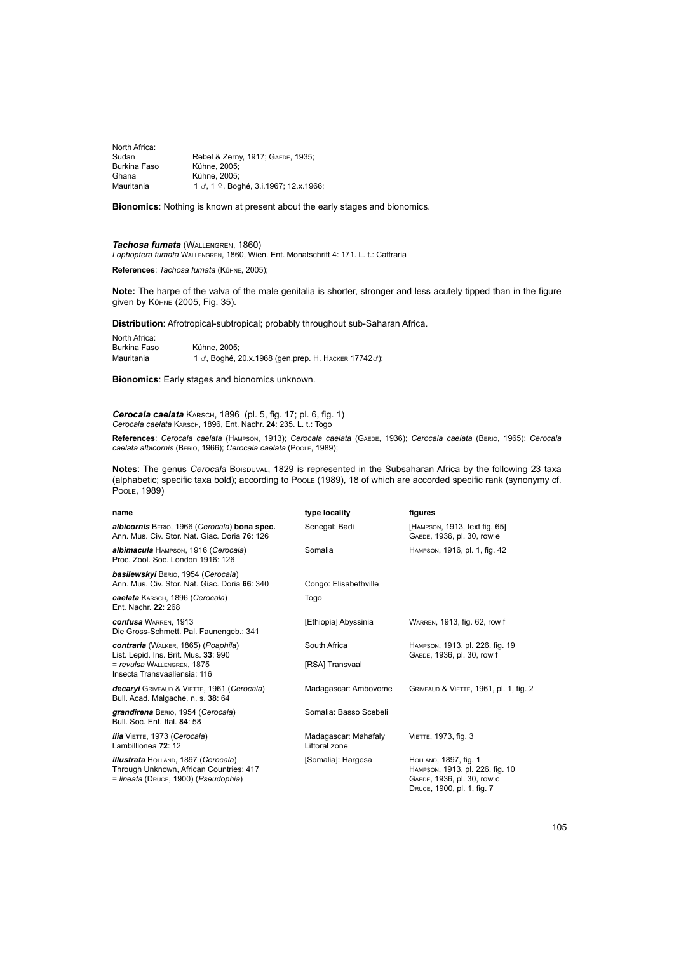North Africa:<br>Sudan Sudan Rebel & Zerny, 1917; GAEDE, 1935;<br>Burkina Faso Kühne. 2005: Burkina Faso Kühne, 2005;<br>Ghana Kühne, 2005; Ghana Kühne, 2005;<br>
Mauritania 1 d 1  $\Omega$  Bog 1  $\sigma$ , 1  $\Omega$ , Boghé, 3.i.1967; 12.x.1966;

**Bionomics**: Nothing is known at present about the early stages and bionomics.

**Tachosa fumata** (WALLENGREN, 1860) *Lophoptera fumata* Wallengren, 1860, Wien. Ent. Monatschrift 4: 171. L. t.: Caffraria

**References**: *Tachosa fumata* (Kühne, 2005);

**Note:** The harpe of the valva of the male genitalia is shorter, stronger and less acutely tipped than in the figure given by Kühne (2005, Fig. 35).

**Distribution**: Afrotropical-subtropical; probably throughout sub-Saharan Africa.

**North Africa:**<br>Burkina Faso Kühne, 2005; Mauritania 1 ₫, Boghé, 20.x.1968 (gen.prep. Н. Наскев 17742₫);

**Bionomics**: Early stages and bionomics unknown.

*Cerocala caelata* Karsch, 1896 (pl. 5, fig. 17; pl. 6, fig. 1) *Cerocala caelata* Karsch, 1896, Ent. Nachr. **24**: 235. L. t.: Togo

**References**: *Cerocala caelata* (Hampson, 1913); *Cerocala caelata* (Gaede, 1936); *Cerocala caelata* (Berio, 1965); *Cerocala caelata albicornis* (Berio, 1966); *Cerocala caelata* (Poole, 1989);

**Notes**: The genus *Cerocala* Boispuval, 1829 is represented in the Subsaharan Africa by the following 23 taxa (alphabetic; specific taxa bold); according to Poole (1989), 18 of which are accorded specific rank (synonymy cf. Poole, 1989)

| name                                                                                                                                             | type locality                         | figures                                                                                                              |
|--------------------------------------------------------------------------------------------------------------------------------------------------|---------------------------------------|----------------------------------------------------------------------------------------------------------------------|
| albicornis BERIO, 1966 (Cerocala) bona spec.<br>Ann. Mus. Civ. Stor. Nat. Giac. Doria 76: 126                                                    | Senegal: Badi                         | [HAMPSON, 1913, text fig. 65]<br>GAEDE, 1936, pl. 30, row e                                                          |
| albimacula HAMPSON, 1916 (Cerocala)<br>Proc. Zool. Soc. London 1916: 126                                                                         | Somalia                               | HAMPSON, 1916, pl. 1, fig. 42                                                                                        |
| <b>basilewskyi</b> BERIO, 1954 (Cerocala)<br>Ann. Mus. Civ. Stor. Nat. Giac. Doria 66: 340                                                       | Congo: Elisabethville                 |                                                                                                                      |
| <b>caelata</b> Кавесн, 1896 (Cerocala)<br>Ent. Nachr. 22: 268                                                                                    | Togo                                  |                                                                                                                      |
| <b>confusa</b> WARREN, 1913<br>Die Gross-Schmett. Pal. Faunengeb.: 341                                                                           | [Ethiopia] Abyssinia                  | WARREN, 1913, fig. 62, row f                                                                                         |
| <b>contraria</b> (WALKER, 1865) (Poaphila)<br>List. Lepid. Ins. Brit. Mus. 33: 990<br>= revulsa WALLENGREN, 1875<br>Insecta Transvaaliensia: 116 | South Africa<br>[RSA] Transvaal       | HAMPSON, 1913, pl. 226. fig. 19<br>GAEDE, 1936, pl. 30, row f                                                        |
| decaryi GRIVEAUD & VIETTE, 1961 (Cerocala)<br>Bull. Acad. Malgache, n. s. 38: 64                                                                 | Madagascar: Ambovome                  | GRIVEAUD & VIETTE, 1961, pl. 1, fig. 2                                                                               |
| grandirena BERIO, 1954 (Cerocala)<br>Bull, Soc. Ent. Ital, 84: 58                                                                                | Somalia: Basso Scebeli                |                                                                                                                      |
| <i>ilia</i> VIETTE, 1973 (Cerocala)<br>Lambillionea 72: 12                                                                                       | Madagascar: Mahafaly<br>Littoral zone | VIETTE, 1973, fig. 3                                                                                                 |
| <b>illustrata</b> HOLLAND, 1897 (Cerocala)<br>Through Unknown, African Countries: 417<br>= lineata (DRUCE, 1900) (Pseudophia)                    | [Somalia]: Hargesa                    | HOLLAND, 1897, fig. 1<br>HAMPSON, 1913, pl. 226, fig. 10<br>GAEDE, 1936, pl. 30, row c<br>DRUCE, 1900, pl. 1, fig. 7 |

105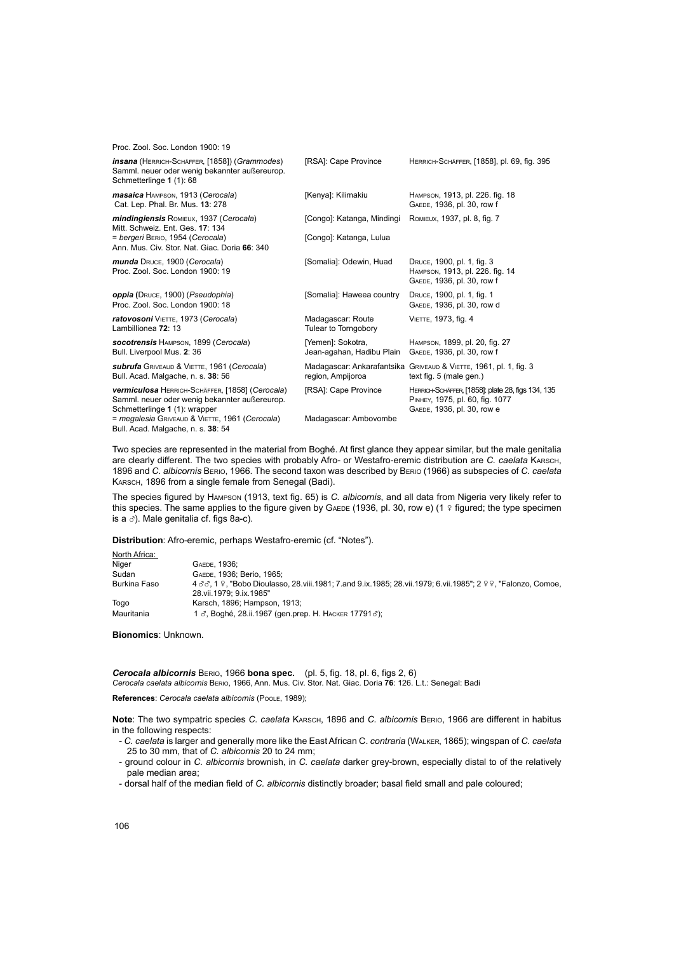| Proc. Zool. Soc. London 1900: 19                                                                                                         |                                                |                                                                                                                    |
|------------------------------------------------------------------------------------------------------------------------------------------|------------------------------------------------|--------------------------------------------------------------------------------------------------------------------|
| <b>insana</b> (HERRICH-SCHÄFFER, [1858]) (Grammodes)<br>Samml. neuer oder wenig bekannter außereurop.<br>Schmetterlinge 1 (1): 68        | [RSA]: Cape Province                           | HERRICH-SCHÄFFER, [1858], pl. 69, fig. 395                                                                         |
| masaica HAMPSON, 1913 (Cerocala)<br>Cat. Lep. Phal. Br. Mus. 13: 278                                                                     | [Kenya]: Kilimakiu                             | HAMPSON, 1913, pl. 226. fig. 18<br>GAEDE, 1936, pl. 30, row f                                                      |
| <b>mindingiensis ROMIEUX, 1937 (Cerocala)</b><br>Mitt. Schweiz. Ent. Ges. 17: 134                                                        | [Congo]: Katanga, Mindingi                     | ROMIEUX, 1937, pl. 8, fig. 7                                                                                       |
| = bergeri BERIO, 1954 (Cerocala)<br>Ann. Mus. Civ. Stor. Nat. Giac. Doria 66: 340                                                        | [Congo]: Katanga, Lulua                        |                                                                                                                    |
| munda DRUCE, 1900 (Cerocala)<br>Proc. Zool. Soc. London 1900: 19                                                                         | [Somalia]: Odewin, Huad                        | DRUCE, 1900, pl. 1, fig. 3<br>HAMPSON, 1913, pl. 226. fig. 14<br>GAEDE, 1936, pl. 30, row f                        |
| oppia (DRUCE, 1900) (Pseudophia)<br>Proc. Zool. Soc. London 1900: 18                                                                     | [Somalia]: Haweea country                      | DRUCE, 1900, pl. 1, fig. 1<br>GAEDE, 1936, pl. 30, row d                                                           |
| ratovosoni VIETTE, 1973 (Cerocala)<br>Lambillionea 72: 13                                                                                | Madagascar: Route<br>Tulear to Torngobory      | VIETTE, 1973, fig. 4                                                                                               |
| socotrensis HAMPSON, 1899 (Cerocala)<br>Bull. Liverpool Mus. 2: 36                                                                       | [Yemen]: Sokotra,<br>Jean-agahan, Hadibu Plain | HAMPSON, 1899, pl. 20, fig. 27<br>GAEDE, 1936, pl. 30, row f                                                       |
| subrufa GRIVEAUD & VIETTE, 1961 (Cerocala)<br>Bull. Acad. Malgache, n. s. 38: 56                                                         | region, Ampijoroa                              | Madagascar: Ankarafantsika GRIVEAUD & VIETTE, 1961, pl. 1, fig. 3<br>text fig. 5 (male gen.)                       |
| <b>vermiculosa HERRICH-SCHÄFFER, [1858] (Cerocala)</b><br>Samml. neuer oder wenig bekannter außereurop.<br>Schmetterlinge 1 (1): wrapper | [RSA]: Cape Province                           | HERRICH-SCHÄFFER, [1858]: plate 28, figs 134, 135<br>PINHEY, 1975, pl. 60, fig. 1077<br>GAEDE, 1936, pl. 30, row e |
| = megalesia GRIVEAUD & VIETTE, 1961 (Cerocala)<br>Bull, Acad, Malgache, n. s. 38: 54                                                     | Madagascar: Ambovombe                          |                                                                                                                    |

Two species are represented in the material from Boghé. At first glance they appear similar, but the male genitalia are clearly different. The two species with probably Afro- or Westafro-eremic distribution are *C. caelata* Karsch, 1896 and *C. albicornis* Berio, 1966. The second taxon was described by Berio (1966) as subspecies of *C. caelata* KARSCH, 1896 from a single female from Senegal (Badi).

The species figured by Hampson (1913, text fig. 65) is *C. albicornis*, and all data from Nigeria very likely refer to this species. The same applies to the figure given by GAEDE (1936, pl. 30, row e) (1  $\degree$  figured; the type specimen is a  $\sigma$ ). Male genitalia cf. figs 8a-c).

**Distribution**: Afro-eremic, perhaps Westafro-eremic (cf. "Notes").

| North Africa: |                                                                                                                                                    |
|---------------|----------------------------------------------------------------------------------------------------------------------------------------------------|
| Niger         | GAEDE, 1936:                                                                                                                                       |
| Sudan         | GAEDE, 1936; Berio, 1965;                                                                                                                          |
| Burkina Faso  | 4 3 3, 1 9, "Bobo Dioulasso, 28 viii. 1981; 7. and 9. ix. 1985; 28 vii. 1979; 6 vii. 1985"; 2 9 9, "Falonzo, Comoe,<br>28. vii. 1979: 9. ix. 1985" |
| Togo          | Karsch, 1896; Hampson, 1913;                                                                                                                       |
| Mauritania    | 1 ♂, Boghé, 28.ii.1967 (gen.prep. Н. Наскев 17791♂);                                                                                               |

**Bionomics**: Unknown.

*Cerocala albicornis* Berio, 1966 **bona spec.** (pl. 5, fig. 18, pl. 6, figs 2, 6) *Cerocala caelata albicornis* Berio, 1966, Ann. Mus. Civ. Stor. Nat. Giac. Doria **76**: 126. L.t.: Senegal: Badi

**References**: *Cerocala caelata albicornis* (Poole, 1989);

**Note**: The two sympatric species *C. caelata* Karsch, 1896 and *C. albicornis* Berio, 1966 are different in habitus in the following respects:

- *C. caelata* is larger and generally more like the East African C. *contraria* (Walker, 1865); wingspan of *C. caelata*  25 to 30 mm, that of *C. albicornis* 20 to 24 mm;
- ground colour in *C. albicornis* brownish, in *C. caelata* darker grey-brown, especially distal to of the relatively pale median area;
- dorsal half of the median field of *C. albicornis* distinctly broader; basal field small and pale coloured;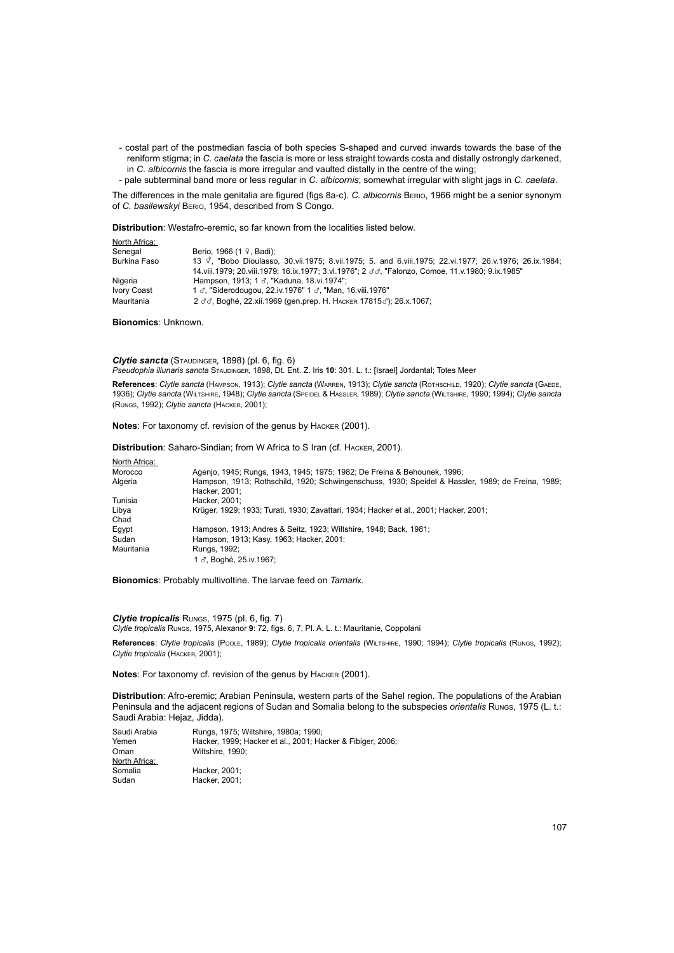- costal part of the postmedian fascia of both species S-shaped and curved inwards towards the base of the reniform stigma; in *C. caelata* the fascia is more or less straight towards costa and distally ostrongly darkened, in *C. albicornis* the fascia is more irregular and vaulted distally in the centre of the wing; - pale subterminal band more or less regular in *C. albicornis*; somewhat irregular with slight jags in *C. caelata*.

The differences in the male genitalia are figured (figs 8a-c). *C. albicornis* Berio, 1966 might be a senior synonym of *C. basilewskyi* Berio, 1954, described from S Congo.

**Distribution**: Westafro-eremic, so far known from the localities listed below.

| North Africa: |                                                                                                                |
|---------------|----------------------------------------------------------------------------------------------------------------|
| Senegal       | Berio, 1966 $(1 \, \text{?}$ , Badi);                                                                          |
| Burkina Faso  | 13 <i>Q</i> , "Bobo Dioulasso, 30 vii.1975; 8 vii.1975; 5. and 6 viii.1975; 22 vi.1977; 26 v.1976; 26 ix.1984; |
|               | 14. viii. 1979: 20. viii. 1979: 16. ix. 1977: 3. vi. 1976": 2 33. "Falonzo. Comoe. 11. v. 1980: 9. ix. 1985"   |
| Nigeria       | Hampson, 1913; 1 ♂, "Kaduna, 18.vi.1974";                                                                      |
| Ivory Coast   | 1 3, "Siderodougou, 22.iv.1976" 1 3, "Man, 16.viii.1976"                                                       |
| Mauritania    | 2 33, Boghé, 22.xii.1969 (gen.prep. Н. Наскев 178153); 26.x.1067;                                              |

**Bionomics**: Unknown.

Clytie sancta (STAUDINGER, 1898) (pl. 6, fig. 6) Pseudophia illunaris sancta STAUDINGER, 1898, Dt. Ent. Z. Iris 10: 301. L. t.: [Israel] Jordantal; Totes Meer

**References**: *Clytie sancta* (Hampson, 1913); *Clytie sancta* (Warren, 1913); *Clytie sancta* (Rothschild, 1920); *Clytie sancta* (Gaede, 1936); *Clytie sancta* (Wiltshire, 1948); *Clytie sancta* (Speidel & Hassler, 1989); *Clytie sancta* (Wiltshire, 1990; 1994); *Clytie sancta* (Rungs, 1992); *Clytie sancta* (Hacker, 2001);

**Notes**: For taxonomy cf. revision of the genus by Hacker (2001).

**Distribution**: Saharo-Sindian; from W Africa to S Iran (cf. Hacker, 2001).

| North Africa: |                                                                                                                    |
|---------------|--------------------------------------------------------------------------------------------------------------------|
| Morocco       | Agenio, 1945; Rungs, 1943, 1945; 1975; 1982; De Freina & Behounek, 1996;                                           |
| Algeria       | Hampson, 1913; Rothschild, 1920; Schwingenschuss, 1930; Speidel & Hassler, 1989; de Freina, 1989;<br>Hacker, 2001; |
| Tunisia       | Hacker, 2001:                                                                                                      |
| Libya         | Krüger, 1929; 1933; Turati, 1930; Zavattari, 1934; Hacker et al., 2001; Hacker, 2001;                              |
| Chad          |                                                                                                                    |
| Eqypt         | Hampson, 1913; Andres & Seitz, 1923; Wiltshire, 1948; Back, 1981;                                                  |
| Sudan         | Hampson, 1913; Kasy, 1963; Hacker, 2001;                                                                           |
| Mauritania    | Rungs, 1992;                                                                                                       |
|               | 1 ♂. Boahé. 25.iv.1967:                                                                                            |

**Bionomics**: Probably multivoltine. The larvae feed on *Tamari*x.

*Clytie tropicalis* Rungs, 1975 (pl. 6, fig. 7) *Clytie tropicalis* Rungs, 1975, Alexanor **9**: 72, figs. 6, 7, Pl. A. L. t.: Mauritanie, Coppolani **References**: *Clytie tropicalis* (Poole, 1989); *Clytie tropicalis orientalis* (Wiltshire, 1990; 1994); *Clytie tropicalis* (Rungs, 1992);

*Clytie tropicalis* (Hacker, 2001);

**Notes**: For taxonomy cf. revision of the genus by Hacker (2001).

**Distribution**: Afro-eremic; Arabian Peninsula, western parts of the Sahel region. The populations of the Arabian Peninsula and the adjacent regions of Sudan and Somalia belong to the subspecies *orientalis* Rungs, 1975 (L. t.: Saudi Arabia: Hejaz, Jidda).

Saudi Arabia Rungs, 1975; Wiltshire, 1980a; 1990; Hacker, 1999; Hacker et al., 2001; Hacker & Fibiger, 2006; Oman Wiltshire, 1990; North Africa: Somalia Hacker, 2001<sup>;</sup> Sudan Hacker, 2001;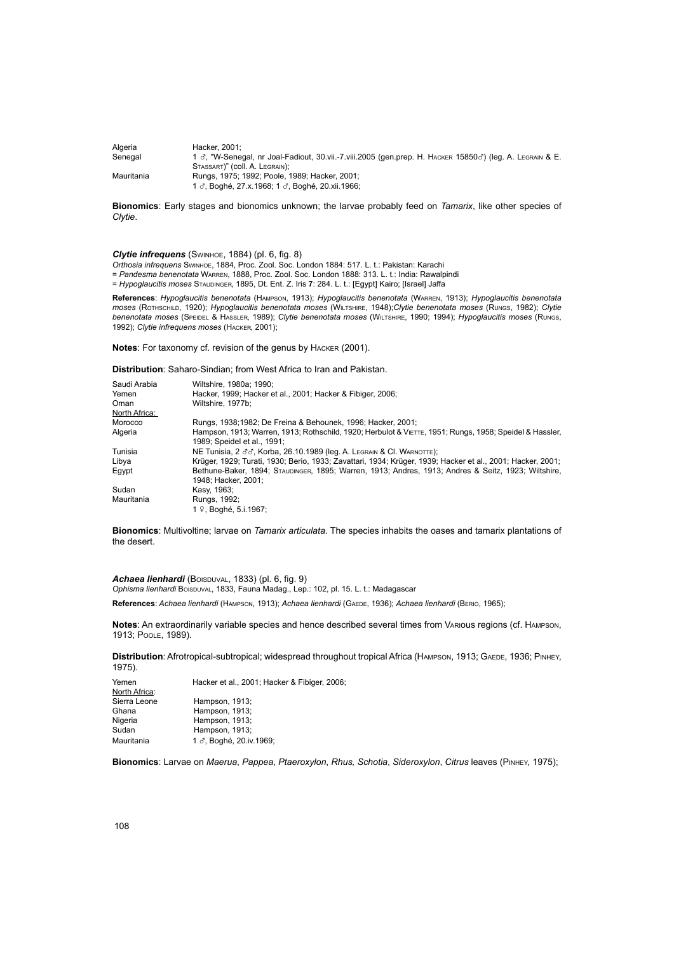| Algeria    | Hacker, 2001:                                                                                            |
|------------|----------------------------------------------------------------------------------------------------------|
| Senegal    | 1 3, "W-Senegal, nr Joal-Fadiout, 30.vii.-7.viii.2005 (gen.prep. H. HACKER 158503) (leg. A. LEGRAIN & E. |
|            | STASSART)" (COII, A. LEGRAIN);                                                                           |
| Mauritania | Rungs, 1975; 1992; Poole, 1989; Hacker, 2001;                                                            |
|            | 1 3. Boghé, 27.x.1968: 1 3. Boghé, 20.xii.1966:                                                          |

**Bionomics**: Early stages and bionomics unknown; the larvae probably feed on *Tamarix*, like other species of *Clytie*.

*Clytie infrequens* (Swinhoe, 1884) (pl. 6, fig. 8)

*Orthosia infrequens* Swinhoe, 1884, Proc. Zool. Soc. London 1884: 517. L. t.: Pakistan: Karachi

= *Pandesma benenotata* Warren, 1888, Proc. Zool. Soc. London 1888: 313. L. t.: India: Rawalpindi = *Hypoglaucitis moses* Staudinger, 1895, Dt. Ent. Z. Iris **7**: 284. L. t.: [Egypt] Kairo; [Israel] Jaffa

**References**: *Hypoglaucitis benenotata* (Hampson, 1913); *Hypoglaucitis benenotata* (Warren, 1913); *Hypoglaucitis benenotata moses* (Rothschild, 1920); *Hypoglaucitis benenotata moses* (Wiltshire, 1948);*Clytie benenotata moses* (Rungs, 1982); *Clytie benenotata moses* (Speidel & Hassler, 1989); *Clytie benenotata moses* (Wiltshire, 1990; 1994); *Hypoglaucitis moses* (Rungs, 1992); *Clytie infrequens moses* (Hacker, 2001);

**Notes**: For taxonomy cf. revision of the genus by Hacker (2001).

**Distribution**: Saharo-Sindian; from West Africa to Iran and Pakistan.

| Saudi Arabia<br>Yemen | Wiltshire, 1980a: 1990:<br>Hacker, 1999; Hacker et al., 2001; Hacker & Fibiger, 2006;                                                 |
|-----------------------|---------------------------------------------------------------------------------------------------------------------------------------|
| Oman                  | Wiltshire, 1977b:                                                                                                                     |
| North Africa:         |                                                                                                                                       |
| Morocco               | Rungs, 1938;1982; De Freina & Behounek, 1996; Hacker, 2001;                                                                           |
| Algeria               | Hampson, 1913; Warren, 1913; Rothschild, 1920; Herbulot & VETTE, 1951; Rungs, 1958; Speidel & Hassler,<br>1989: Speidel et al., 1991: |
| Tunisia               | NE Tunisia, 2 33, Korba, 26.10.1989 (leg. A. LEGRAIN & CI. WARNOTTE);                                                                 |
| Libya                 | Krüger, 1929; Turati, 1930; Berio, 1933; Zavattari, 1934; Krüger, 1939; Hacker et al., 2001; Hacker, 2001;                            |
| Eqypt                 | Bethune-Baker, 1894; STAUDINGER, 1895; Warren, 1913; Andres, 1913; Andres & Seitz, 1923; Wiltshire,<br>1948: Hacker. 2001:            |
| Sudan                 | Kasy, 1963;                                                                                                                           |
| Mauritania            | Rungs, 1992;<br>1 º, Boghé, 5.i.1967;                                                                                                 |

**Bionomics**: Multivoltine; larvae on *Tamarix articulata*. The species inhabits the oases and tamarix plantations of the desert.

Achaea lienhardi *(Boispuval, 1833)* (pl. 6, fig. 9) Ophisma lienhardi Boispuval, 1833, Fauna Madag., Lep.: 102, pl. 15. L. t.: Madagascar

**References**: *Achaea lienhardi* (Hampson, 1913); *Achaea lienhardi* (Gaede, 1936); *Achaea lienhardi* (Berio, 1965);

**Notes**: An extraordinarily variable species and hence described several times from Various regions (cf. Hampson, 1913; Poole, 1989).

Distribution: Afrotropical-subtropical; widespread throughout tropical Africa (HAMPSON, 1913; GAEDE, 1936; PINHEY, 1975).

| Yemen         | Hacker et al., 2001; Hacker & Fibiger, 2006; |
|---------------|----------------------------------------------|
| North Africa: |                                              |
| Sierra Leone  | Hampson, 1913;                               |
| Ghana         | Hampson, 1913;                               |
| Nigeria       | Hampson, 1913;                               |
| Sudan         | Hampson, 1913;                               |
| Mauritania    | 1 3, Boghé, 20.iv.1969;                      |

**Bionomics**: Larvae on *Maerua*, *Pappea*, *Ptaeroxylon*, *Rhus, Schotia*, *Sideroxylon*, *Citrus* leaves (Pinhey, 1975);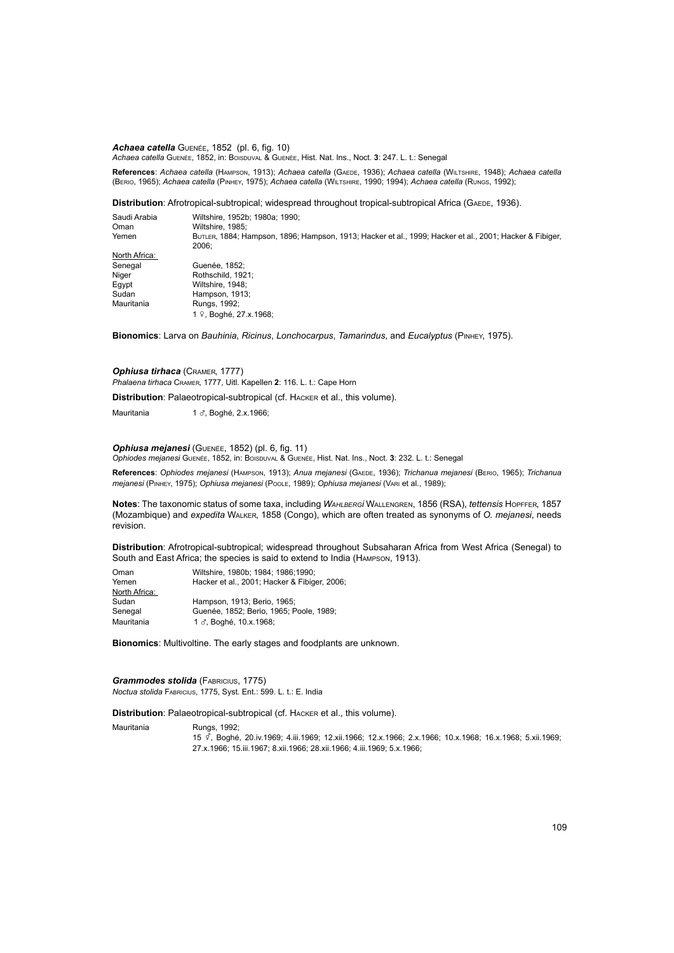*Achaea catella* Guenée, 1852 (pl. 6, fig. 10) *Achaea catella* Guenée, 1852, in: Boisduval & Guenée, Hist. Nat. Ins., Noct. **3**: 247. L. t.: Senegal

**References**: *Achaea catella* (Hampson, 1913); *Achaea catella* (Gaede, 1936); *Achaea catella* (Wiltshire, 1948); *Achaea catella* (Berio, 1965); *Achaea catella* (Pinhey, 1975); *Achaea catella* (Wiltshire, 1990; 1994); *Achaea catella* (Rungs, 1992);

Distribution: Afrotropical-subtropical; widespread throughout tropical-subtropical Africa (GAEDE, 1936).

| Saudi Arabia<br>Oman | Wiltshire, 1952b: 1980a: 1990:<br>Wiltshire, 1985;                                                               |
|----------------------|------------------------------------------------------------------------------------------------------------------|
| Yemen                | BUTLER, 1884; Hampson, 1896; Hampson, 1913; Hacker et al., 1999; Hacker et al., 2001; Hacker & Fibiger,<br>2006: |
| North Africa:        |                                                                                                                  |
| Senegal              | Guenée. 1852:                                                                                                    |
| Niger                | Rothschild, 1921:                                                                                                |
| Egypt                | Wiltshire, 1948;                                                                                                 |
| Sudan                | Hampson, 1913;                                                                                                   |
| Mauritania           | Rungs, 1992;                                                                                                     |
|                      | 1 º. Boahé. 27.x.1968:                                                                                           |

**Bionomics**: Larva on *Bauhinia*, *Ricinus*, *Lonchocarpus*, *Tamarindus*, and *Eucalyptus* (Pinhey, 1975).

*Ophiusa tirhaca* (Cramer, 1777) *Phalaena tirhaca* Cramer, 1777, Uitl. Kapellen **2**: 116. L. t.: Cape Horn

**Distribution**: Palaeotropical-subtropical (cf. Hacker et al., this volume).

Mauritania 1 3, Boghé, 2.x.1966;

# *Ophiusa mejanesi* (Guenée, 1852) (pl. 6, fig. 11)

*Ophiodes mejanesi* Guenée, 1852, in: Boisduval & Guenée, Hist. Nat. Ins., Noct. **3**: 232. L. t.: Senegal

**References**: *Ophiodes mejanesi* (Hampson, 1913); *Anua mejanesi* (Gaede, 1936); *Trichanua mejanesi* (Berio, 1965); *Trichanua mejanesi* (Pinhey, 1975); *Ophiusa mejanesi* (Poole, 1989); *Ophiusa mejanesi* (Vari et al., 1989);

**Notes**: The taxonomic status of some taxa, including *Wahlbergi* Wallengren, 1856 (RSA), *tettensis* Hopffer, 1857 (Mozambique) and *expedita* Walker, 1858 (Congo), which are often treated as synonyms of *O. mejanesi*, needs revision.

**Distribution**: Afrotropical-subtropical; widespread throughout Subsaharan Africa from West Africa (Senegal) to South and East Africa; the species is said to extend to India (Hampson, 1913).

| Oman          | Wiltshire, 1980b; 1984; 1986; 1990;          |
|---------------|----------------------------------------------|
| Yemen         | Hacker et al., 2001; Hacker & Fibiger, 2006; |
| North Africa: |                                              |
| Sudan         | Hampson, 1913; Berio, 1965;                  |
| Senegal       | Guenée, 1852; Berio, 1965; Poole, 1989;      |
| Mauritania    | 1 3, Boghé, 10.x.1968;                       |

**Bionomics**: Multivoltine. The early stages and foodplants are unknown.

*Grammodes stolida* (FABRICIUS, 1775) *Noctua stolida* Fabricius, 1775, Syst. Ent.: 599. L. t.: E. India

**Distribution**: Palaeotropical-subtropical (cf. Hacker et al., this volume).

Mauritania Rungs, 1992;

<sup>15</sup>y, Boghé, 20.iv.1969; 4.iii.1969; 12.xii.1966; 12.x.1966; 2.x.1966; 10.x.1968; 16.x.1968; 5.xii.1969; 27.x.1966; 15.iii.1967; 8.xii.1966; 28.xii.1966; 4.iii.1969; 5.x.1966;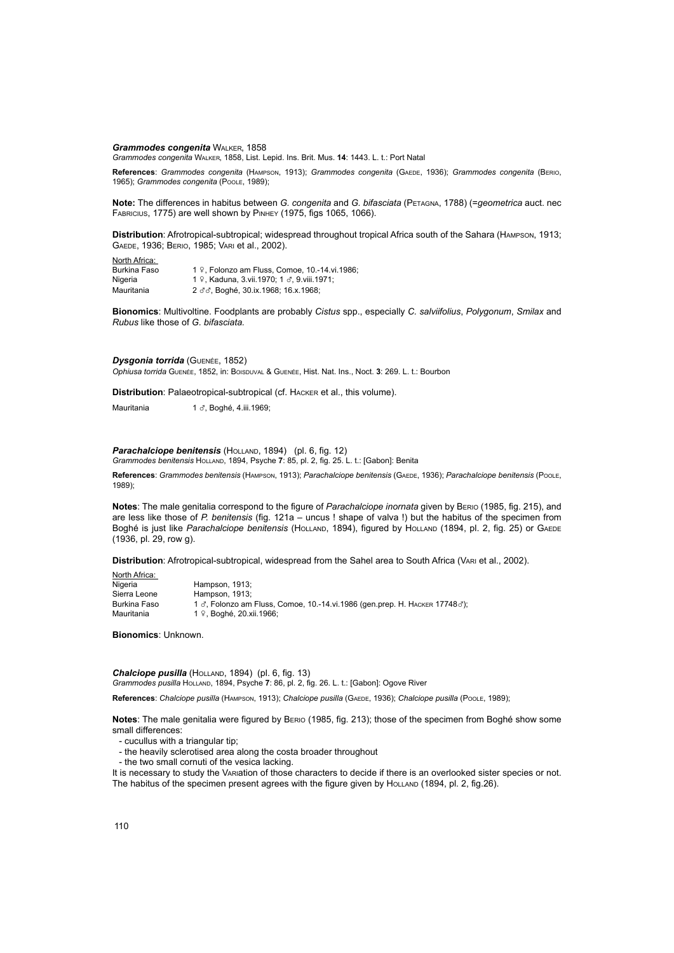*Grammodes congenita* Walker, 1858 *Grammodes congenita* Walker, 1858, List. Lepid. Ins. Brit. Mus. **14**: 1443. L. t.: Port Natal

**References**: *Grammodes congenita* (Hampson, 1913); *Grammodes congenita* (Gaede, 1936); *Grammodes congenita* (Berio, 1965); *Grammodes congenita* (Poole, 1989);

**Note:** The differences in habitus between *G. congenita* and *G. bifasciata* (Petagna, 1788) (=*geometrica* auct. nec Fabricius, 1775) are well shown by Pinhey (1975, figs 1065, 1066).

**Distribution**: Afrotropical-subtropical; widespread throughout tropical Africa south of the Sahara (Hampson, 1913; Gaede, 1936; Berio, 1985; Vari et al., 2002).

**North Africa:**<br>Burkina Faso Burkina Faso 1  $9$ , Folonzo am Fluss, Comoe, 10.-14.vi.1986;<br>Nigeria 1 9. Kaduna. 3.vii.1970: 1  $\sigma$ , 9.viii.1971: 1 º, Kaduna, 3.vii.1970; 1 &, 9.viii.1971; Mauritania 2 dd, Boghé, 30.ix.1968; 16.x.1968;

**Bionomics**: Multivoltine. Foodplants are probably *Cistus* spp., especially *C. salviifolius*, *Polygonum*, *Smilax* and *Rubus* like those of *G. bifasciata.*

# *Dysgonia torrida* (Guenée, 1852)

*Ophiusa torrida* Guenée, 1852, in: Boisduval & Guenée, Hist. Nat. Ins., Noct. **3**: 269. L. t.: Bourbon

**Distribution**: Palaeotropical-subtropical (cf. Hacker et al., this volume).

Mauritania 1 d. Boghé, 4.iii.1969:

# Parachalciope benitensis (HOLLAND, 1894) (pl. 6, fig. 12)

*Grammodes benitensis* Holland, 1894, Psyche **7**: 85, pl. 2, fig. 25. L. t.: [Gabon]: Benita

**References**: *Grammodes benitensis* (Hampson, 1913); *Parachalciope benitensis* (Gaede, 1936); *Parachalciope benitensis* (Poole, 1989);

**Notes**: The male genitalia correspond to the figure of *Parachalciope inornata* given by Berio (1985, fig. 215), and are less like those of *P. benitensis* (fig. 121a – uncus ! shape of valva !) but the habitus of the specimen from Boghé is just like *Parachalciope benitensis* (Holland, 1894), figured by Holland (1894, pl. 2, fig. 25) or GAEDE (1936, pl. 29, row g).

**Distribution**: Afrotropical-subtropical, widespread from the Sahel area to South Africa (Vari et al., 2002).

| North Africa: |                                                                                             |
|---------------|---------------------------------------------------------------------------------------------|
| Nigeria       | Hampson, 1913;                                                                              |
| Sierra Leone  | Hampson, 1913:                                                                              |
| Burkina Faso  | 1 $\sigma$ , Folonzo am Fluss, Comoe, 10.-14.vi.1986 (gen.prep. H. HACKER 17748 $\sigma$ ); |
| Mauritania    | 1 º. Boghé, 20.xii.1966:                                                                    |

**Bionomics**: Unknown.

Chalciope pusilla (HOLLAND, 1894) (pl. 6, fig. 13) *Grammodes pusilla* Holland, 1894, Psyche **7**: 86, pl. 2, fig. 26. L. t.: [Gabon]: Ogove River

**References**: *Chalciope pusilla* (Hampson, 1913); *Chalciope pusilla* (Gaede, 1936); *Chalciope pusilla* (Poole, 1989);

**Notes**: The male genitalia were figured by Berio (1985, fig. 213); those of the specimen from Boghé show some small differences:

- cucullus with a triangular tip;
- the heavily sclerotised area along the costa broader throughout
- the two small cornuti of the vesica lacking.

It is necessary to study the Variation of those characters to decide if there is an overlooked sister species or not. The habitus of the specimen present agrees with the figure given by HOLLAND (1894, pl. 2, fig.26).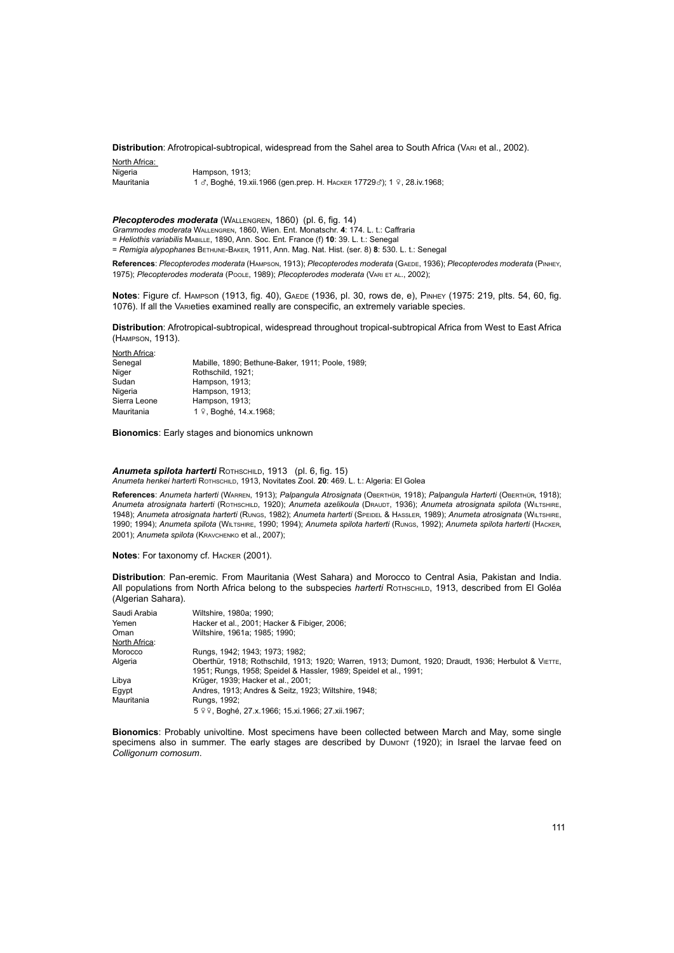**Distribution**: Afrotropical-subtropical, widespread from the Sahel area to South Africa (Vari et al., 2002).

| North Africa: |                                                                        |
|---------------|------------------------------------------------------------------------|
| Nigeria       | Hampson, 1913:                                                         |
| Mauritania    | 1 ♂, Boghé, 19.xii.1966 (gen.prep. H. HACKER 17729♂); 1 ♀, 28.iv.1968; |

**Plecopterodes moderata** (WALLENGREN, 1860) (pl. 6, fig. 14)

*Grammodes moderata* Wallengren, 1860, Wien. Ent. Monatschr. **4**: 174. L. t.: Caffraria

= *Heliothis variabilis* Mabille, 1890, Ann. Soc. Ent. France (f) **10**: 39. L. t.: Senegal

= *Remigia alypophanes* Bethune-Baker, 1911, Ann. Mag. Nat. Hist. (ser. 8) **8**: 530. L. t.: Senegal

**References**: *Plecopterodes moderata* (Hampson, 1913); *Plecopterodes moderata* (Gaede, 1936); *Plecopterodes moderata* (Pinhey, 1975); *Plecopterodes moderata* (Poole, 1989); *Plecopterodes moderata* (Vari et al., 2002);

**Notes:** Figure cf. Hampson (1913, fig. 40), GAEDE (1936, pl. 30, rows de, e), PINHEY (1975: 219, plts. 54, 60, fig. 1076). If all the VARIeties examined really are conspecific, an extremely variable species.

**Distribution**: Afrotropical-subtropical, widespread throughout tropical-subtropical Africa from West to East Africa (Hampson, 1913).

| Mabille, 1890; Bethune-Baker, 1911; Poole, 1989; |
|--------------------------------------------------|
| Rothschild, 1921:                                |
| Hampson, 1913;                                   |
| Hampson, 1913;                                   |
| Hampson, 1913;                                   |
| 1 º, Boghé, 14.x.1968;                           |
|                                                  |

**Bionomics**: Early stages and bionomics unknown

North Africa:

*Anumeta spilota harterti* Rothschild, 1913 (pl. 6, fig. 15) *Anumeta henkei harterti* Rothschild, 1913, Novitates Zool. **20**: 469. L. t.: Algeria: El Golea

**References**: *Anumeta harterti* (Warren, 1913); *Palpangula Atrosignata* (Oberthür, 1918); *Palpangula Harterti* (Oberthür, 1918); *Anumeta atrosignata harterti* (Rothschild, 1920); *Anumeta azelikoula* (Draudt, 1936); *Anumeta atrosignata spilota* (Wiltshire, 1948); *Anumeta atrosignata harterti* (Rungs, 1982); *Anumeta harterti* (Speidel & Hassler, 1989); *Anumeta atrosignata* (Wiltshire, 1990; 1994); *Anumeta spilota* (Wiltshire, 1990; 1994); *Anumeta spilota harterti* (Rungs, 1992); *Anumeta spilota harterti* (Hacker, 2001); *Anumeta spilota* (Kravchenko et al., 2007);

**Notes**: For taxonomy cf. Hacker (2001).

**Distribution**: Pan-eremic. From Mauritania (West Sahara) and Morocco to Central Asia, Pakistan and India. All populations from North Africa belong to the subspecies *harterti* Rothschild, 1913, described from El Goléa (Algerian Sahara).

| Saudi Arabia  | Wiltshire, 1980a; 1990;                                                                                                                                                   |
|---------------|---------------------------------------------------------------------------------------------------------------------------------------------------------------------------|
| Yemen         | Hacker et al., 2001; Hacker & Fibiger, 2006;                                                                                                                              |
| Oman          | Wiltshire, 1961a: 1985: 1990:                                                                                                                                             |
| North Africa: |                                                                                                                                                                           |
| Morocco       | Rungs, 1942; 1943; 1973; 1982;                                                                                                                                            |
| Algeria       | Oberthür, 1918; Rothschild, 1913; 1920; Warren, 1913; Dumont, 1920; Draudt, 1936; Herbulot & VIETTE,<br>1951; Rungs, 1958; Speidel & Hassler, 1989; Speidel et al., 1991; |
| Libya         | Krüger, 1939; Hacker et al., 2001;                                                                                                                                        |
| Egypt         | Andres, 1913: Andres & Seitz, 1923: Wiltshire, 1948:                                                                                                                      |
| Mauritania    | Rungs, 1992;                                                                                                                                                              |
|               | 5 º º, Boghé, 27.x.1966; 15.xi.1966; 27.xii.1967;                                                                                                                         |

**Bionomics**: Probably univoltine. Most specimens have been collected between March and May, some single specimens also in summer. The early stages are described by DUMONT (1920); in Israel the larvae feed on *Colligonum comosum*.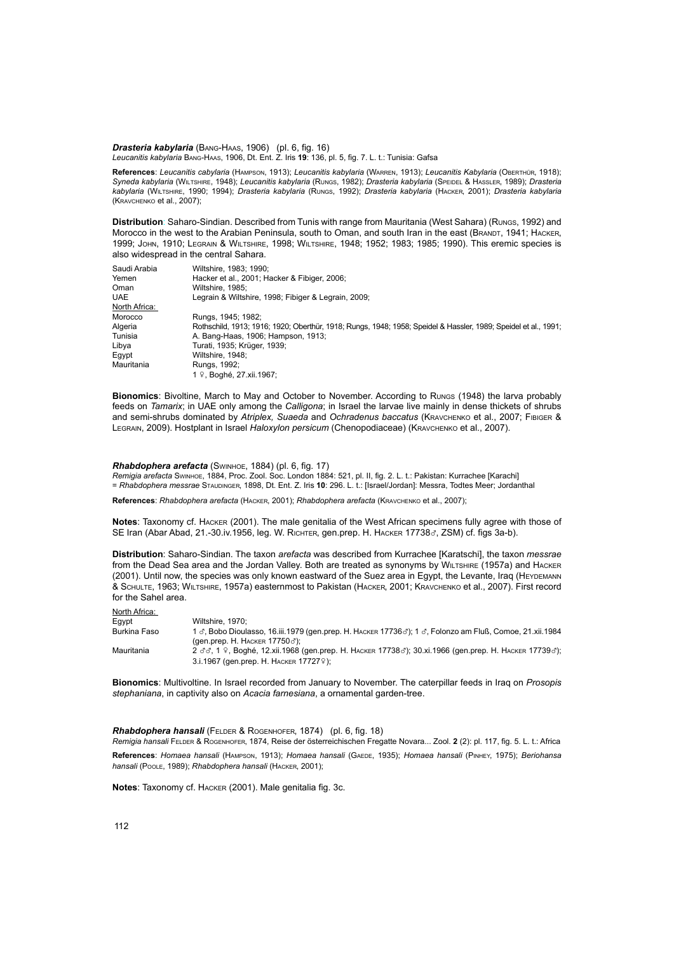*Drasteria kabylaria* (Bang-Haas, 1906) (pl. 6, fig. 16) *Leucanitis kabylaria* Bang-Haas, 1906, Dt. Ent. Z. Iris **19**: 136, pl. 5, fig. 7. L. t.: Tunisia: Gafsa

**References**: *Leucanitis cabylaria* (Hampson, 1913); *Leucanitis kabylaria* (Warren, 1913); *Leucanitis Kabylaria* (Oberthür, 1918); *Syneda kabylaria* (Wiltshire, 1948); *Leucanitis kabylaria* (Rungs, 1982); *Drasteria kabylaria* (Speidel & Hassler, 1989); *Drasteria kabylaria* (Wiltshire, 1990; 1994); *Drasteria kabylaria* (Rungs, 1992); *Drasteria kabylaria* (Hacker, 2001); *Drasteria kabylaria*  (Kravchenko et al., 2007);

**Distribution**: Saharo-Sindian. Described from Tunis with range from Mauritania (West Sahara) (Rungs, 1992) and Morocco in the west to the Arabian Peninsula, south to Oman, and south Iran in the east (BRANDT, 1941; HACKER, 1999; John, 1910; Legrain & Wiltshire, 1998; Wiltshire, 1948; 1952; 1983; 1985; 1990). This eremic species is also widespread in the central Sahara.

| Saudi Arabia  | Wiltshire, 1983; 1990;                                                                                          |  |
|---------------|-----------------------------------------------------------------------------------------------------------------|--|
| Yemen         | Hacker et al., 2001; Hacker & Fibiger, 2006;                                                                    |  |
| Oman          | Wiltshire, 1985:                                                                                                |  |
| <b>UAE</b>    | Legrain & Wiltshire, 1998; Fibiger & Legrain, 2009;                                                             |  |
| North Africa: |                                                                                                                 |  |
| Morocco       | Rungs, 1945; 1982;                                                                                              |  |
| Algeria       | Rothschild, 1913; 1916; 1920; Oberthür, 1918; Rungs, 1948; 1958; Speidel & Hassler, 1989; Speidel et al., 1991; |  |
| Tunisia       | A. Bang-Haas, 1906; Hampson, 1913;                                                                              |  |
| Libya         | Turati, 1935; Krüger, 1939;                                                                                     |  |
| Eqypt         | Wiltshire, 1948;                                                                                                |  |
| Mauritania    | Rungs, 1992;                                                                                                    |  |
|               | 1 ♀. Boahé. 27.xii.1967:                                                                                        |  |

**Bionomics**: Bivoltine, March to May and October to November. According to Rungs (1948) the larva probably feeds on *Tamarix*; in UAE only among the *Calligona*; in Israel the larvae live mainly in dense thickets of shrubs and semi-shrubs dominated by *Atriplex, Suaeda* and *Ochradenus baccatus* (Kravchenko et al., 2007; Fibiger & Legrain, 2009). Hostplant in Israel *Haloxylon persicum* (Chenopodiaceae) (Kravchenko et al., 2007).

*Rhabdophera arefacta* (Swinhoe, 1884) (pl. 6, fig. 17)

*Remigia arefacta* Swinhoe, 1884, Proc. Zool. Soc. London 1884: 521, pl. II, fig. 2. L. t.: Pakistan: Kurrachee [Karachi] = *Rhabdophera messrae* Staudinger, 1898, Dt. Ent. Z. Iris **10**: 296. L. t.: [Israel/Jordan]: Messra, Todtes Meer; Jordanthal

**References**: *Rhabdophera arefacta* (Hacker, 2001); *Rhabdophera arefacta* (Kravchenko et al., 2007);

**Notes**: Taxonomy cf. Hacker (2001). The male genitalia of the West African specimens fully agree with those of SE Iran (Abar Abad, 21.-30.iv.1956, leg. W. Richter, gen.prep. H. Наскек 17738 $\sigma$ , ZSM) cf. figs 3a-b).

**Distribution**: Saharo-Sindian. The taxon *arefacta* was described from Kurrachee [Karatschi], the taxon *messrae*  from the Dead Sea area and the Jordan Valley. Both are treated as synonyms by WILTSHIRE (1957a) and HACKER (2001). Until now, the species was only known eastward of the Suez area in Egypt, the Levante, Iraq (HEYDEMANN & Schulte, 1963; Wiltshire, 1957a) easternmost to Pakistan (Hacker, 2001; Kravchenko et al., 2007). First record for the Sahel area.

North Africa:

| .            |                                                                                                                                  |
|--------------|----------------------------------------------------------------------------------------------------------------------------------|
| Eqvpt        | Wiltshire, 1970:                                                                                                                 |
| Burkina Faso | 1 $\sigma$ , Bobo Dioulasso, 16.iii.1979 (gen.prep. H. HACKER 17736 $\sigma$ ); 1 $\sigma$ , Folonzo am Fluß, Comoe, 21.xii.1984 |
|              | (gen.prep. Н. Наскєв 17750♂);                                                                                                    |
| Mauritania   | 2 ₫₫, 1 º, Boghé, 12.xii.1968 (gen.prep. Н. Наскев 17738₫); 30.xi.1966 (gen.prep. Н. Наскев 17739₫);                             |
|              | 3.i.1967 (gen.prep. H. HACKER 17727 $\circ$ );                                                                                   |

**Bionomics**: Multivoltine. In Israel recorded from January to November. The caterpillar feeds in Iraq on *Prosopis stephaniana*, in captivity also on *Acacia farnesiana*, a ornamental garden-tree.

*Rhabdophera hansali* (Felder & Rogenhofer, 1874) (pl. 6, fig. 18)

*Remigia hansali* Felder & Rogenhofer, 1874, Reise der österreichischen Fregatte Novara... Zool. **2** (2): pl. 117, fig. 5. L. t.: Africa **References**: *Homaea hansali* (Hampson, 1913); *Homaea hansali* (Gaede, 1935); *Homaea hansali* (Pinhey, 1975); *Beriohansa hansali* (Poole, 1989); *Rhabdophera hansali* (Hacker, 2001);

**Notes**: Taxonomy cf. Hacker (2001). Male genitalia fig. 3c.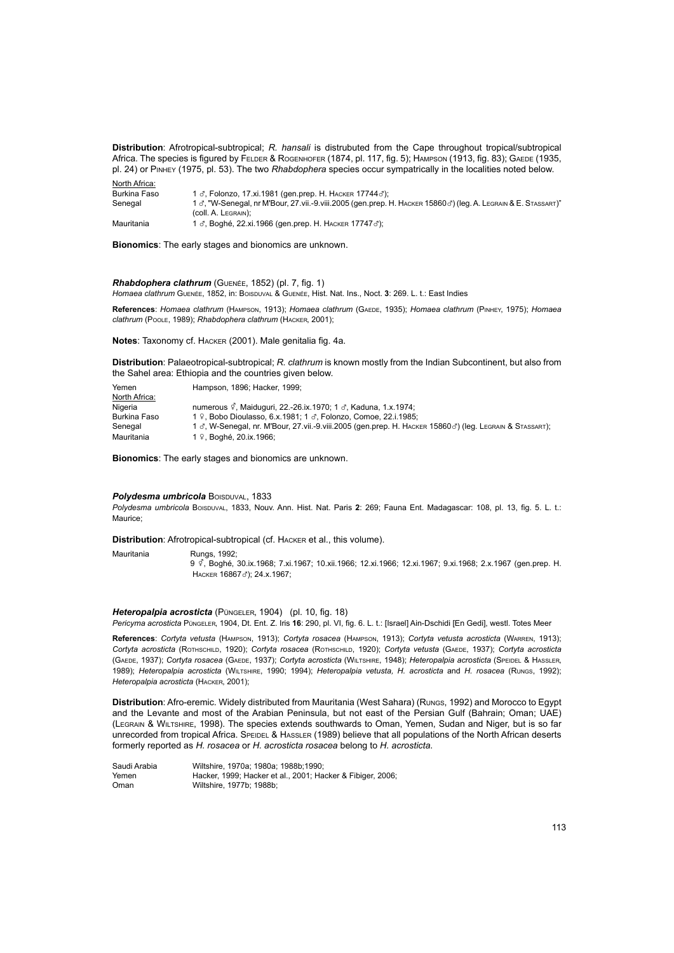**Distribution**: Afrotropical-subtropical; *R. hansali* is distrubuted from the Cape throughout tropical/subtropical Africa. The species is figured by FELDER & ROGENHOFER (1874, pl. 117, fig. 5); HAMPSON (1913, fig. 83); GAEDE (1935, pl. 24) or Pinhey (1975, pl. 53). The two *Rhabdophera* species occur sympatrically in the localities noted below.

| North Africa: |                                                                                                                                |
|---------------|--------------------------------------------------------------------------------------------------------------------------------|
| Burkina Faso  | 1 ♂, Folonzo, 17.xi.1981 (gen.prep. Н. Наскев 17744♂);                                                                         |
| Senegal       | 1 $\sigma$ , "W-Senegal, nr M'Bour, 27 vii.-9 viii.2005 (gen.prep. H. HACKER 15860 $\sigma$ ) (leg. A. LEGRAIN & E. STASSART)" |
|               | (COII, A. LEGRAIN).                                                                                                            |
| Mauritania    | 1 ♂, Boghé, 22.xi.1966 (gen.prep. Н. Наскев 17747♂);                                                                           |

**Bionomics**: The early stages and bionomics are unknown.

*Rhabdophera clathrum* (Guenée, 1852) (pl. 7, fig. 1) *Homaea clathrum* Guenée, 1852, in: Boisduval & Guenée, Hist. Nat. Ins., Noct. **3**: 269. L. t.: East Indies

**References**: *Homaea clathrum* (Hampson, 1913); *Homaea clathrum* (Gaede, 1935); *Homaea clathrum* (Pinhey, 1975); *Homaea clathrum* (Poole, 1989); *Rhabdophera clathrum* (Hacker, 2001);

**Notes**: Taxonomy cf. Hacker (2001). Male genitalia fig. 4a.

**Distribution**: Palaeotropical-subtropical; *R. clathrum* is known mostly from the Indian Subcontinent, but also from the Sahel area: Ethiopia and the countries given below.

| Yemen         | Hampson, 1896: Hacker, 1999:                                                                            |
|---------------|---------------------------------------------------------------------------------------------------------|
| North Africa: |                                                                                                         |
| Nigeria       | numerous $\sqrt{2}$ , Maiduquri, 22.-26.ix.1970; 1 $\sigma$ , Kaduna, 1.x.1974;                         |
| Burkina Faso  | 1 º. Bobo Dioulasso. 6.x.1981: 1 $\sigma$ . Folonzo. Comoe. 22.i.1985:                                  |
| Senegal       | 1 3, W-Senegal, nr. M'Bour, 27 vii.-9 viii.2005 (gen.prep. H. HACKER 158603) (leg. LEGRAIN & STASSART); |
| Mauritania    | 1 º. Boghé, 20.ix.1966:                                                                                 |

**Bionomics**: The early stages and bionomics are unknown.

#### **Polydesma umbricola Boispuval, 1833**

Polydesma umbricola Boispuval, 1833, Nouv. Ann. Hist. Nat. Paris 2: 269; Fauna Ent. Madagascar: 108, pl. 13, fig. 5. L. t.: Maurice;

**Distribution**: Afrotropical-subtropical (cf. Hacker et al., this volume).

Mauritania Rungs, 1992; <sup>9</sup>y, Boghé, 30.ix.1968; 7.xi.1967; 10.xii.1966; 12.xi.1966; 12.xi.1967; 9.xi.1968; 2.x.1967 (gen.prep. H. HACKER 16867c'); 24.x.1967;

# *Heteropalpia acrosticta* (Püngeler, 1904) (pl. 10, fig. 18)

*Pericyma acrosticta* Püngeler, 1904, Dt. Ent. Z. Iris **16**: 290, pl. VI, fig. 6. L. t.: [Israel] Ain-Dschidi [En Gedi], westl. Totes Meer

**References**: *Cortyta vetusta* (Hampson, 1913); *Cortyta rosacea* (Hampson, 1913); *Cortyta vetusta acrosticta* (Warren, 1913); *Cortyta acrosticta* (Rothschild, 1920); *Cortyta rosacea* (Rothschild, 1920); *Cortyta vetusta* (Gaede, 1937); *Cortyta acrosticta* (Gaede, 1937); *Cortyta rosacea* (Gaede, 1937); *Cortyta acrosticta* (Wiltshire, 1948); *Heteropalpia acrosticta* (Speidel & Hassler, 1989); *Heteropalpia acrosticta* (Wiltshire, 1990; 1994); *Heteropalpia vetusta, H. acrosticta* and *H. rosacea* (Rungs, 1992); *Heteropalpia acrosticta* (Hacker, 2001);

**Distribution**: Afro-eremic. Widely distributed from Mauritania (West Sahara) (Rungs, 1992) and Morocco to Egypt and the Levante and most of the Arabian Peninsula, but not east of the Persian Gulf (Bahrain; Oman; UAE) (Legrain & Wiltshire, 1998). The species extends southwards to Oman, Yemen, Sudan and Niger, but is so far unrecorded from tropical Africa. SPEIDEL & HASSLER (1989) believe that all populations of the North African deserts formerly reported as *H. rosacea* or *H. acrosticta rosacea* belong to *H. acrosticta*.

| Saudi Arabia | Wiltshire, 1970a: 1980a: 1988b:1990:                       |
|--------------|------------------------------------------------------------|
| Yemen        | Hacker, 1999; Hacker et al., 2001; Hacker & Fibiger, 2006; |
| Oman         | Wiltshire, 1977b: 1988b:                                   |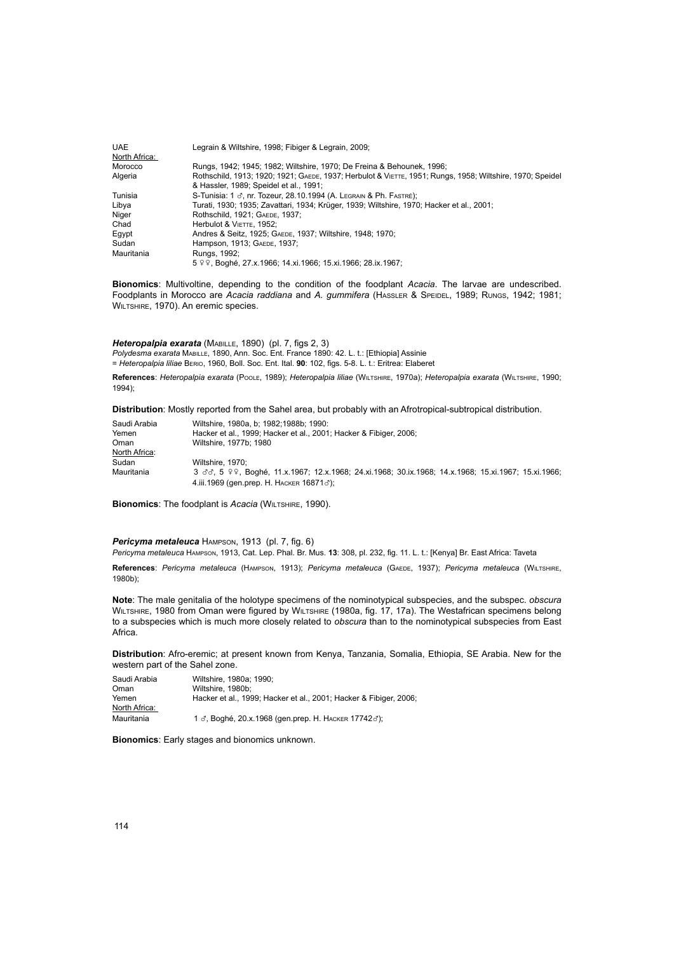| <b>UAE</b>    | Legrain & Wiltshire, 1998; Fibiger & Legrain, 2009;                                                       |  |
|---------------|-----------------------------------------------------------------------------------------------------------|--|
| North Africa: |                                                                                                           |  |
| Morocco       | Rungs, 1942; 1945; 1982; Wiltshire, 1970; De Freina & Behounek, 1996;                                     |  |
| Algeria       | Rothschild, 1913; 1920; 1921; GAEDE, 1937; Herbulot & VIETTE, 1951; Rungs, 1958; Wiltshire, 1970; Speidel |  |
|               | & Hassler, 1989; Speidel et al., 1991;                                                                    |  |
| Tunisia       | S-Tunisia: 1 ♂, nr. Tozeur, 28.10.1994 (A. LEGRAIN & Ph. FASTRÉ);                                         |  |
| Libya         | Turati, 1930; 1935; Zavattari, 1934; Krüger, 1939; Wiltshire, 1970; Hacker et al., 2001;                  |  |
| Niger         | Rothschild, 1921; GAEDE, 1937;                                                                            |  |
| Chad          | Herbulot & VIETTE, 1952:                                                                                  |  |
| Eqypt         | Andres & Seitz, 1925; GAEDE, 1937; Wiltshire, 1948; 1970;                                                 |  |
| Sudan         | Hampson, 1913; GAEDE, 1937;                                                                               |  |
| Mauritania    | Rungs, 1992;                                                                                              |  |
|               | 5 º º, Boghé, 27.x.1966; 14.xi.1966; 15.xi.1966; 28.ix.1967;                                              |  |

**Bionomics**: Multivoltine, depending to the condition of the foodplant *Acacia*. The larvae are undescribed. Foodplants in Morocco are *Acacia raddiana* and *A. gummifera* (Hassler & Speidel, 1989; Rungs, 1942; 1981; WILTSHIRE, 1970). An eremic species.

*Heteropalpia exarata* (Mabille, 1890) (pl. 7, figs 2, 3) *Polydesma exarata* Mabille, 1890, Ann. Soc. Ent. France 1890: 42. L. t.: [Ethiopia] Assinie = *Heteropalpia liliae* Berio, 1960, Boll. Soc. Ent. Ital. **90**: 102, figs. 5-8. L. t.: Eritrea: Elaberet

**References**: *Heteropalpia exarata* (Poole, 1989); *Heteropalpia liliae* (Wiltshire, 1970a); *Heteropalpia exarata* (Wiltshire, 1990; 1994);

**Distribution**: Mostly reported from the Sahel area, but probably with an Afrotropical-subtropical distribution.

| Saudi Arabia  | Wiltshire, 1980a, b: 1982:1988b: 1990:                                                                |  |
|---------------|-------------------------------------------------------------------------------------------------------|--|
| Yemen         | Hacker et al., 1999; Hacker et al., 2001; Hacker & Fibiger, 2006;                                     |  |
| Oman          | Wiltshire, 1977b: 1980                                                                                |  |
| North Africa: |                                                                                                       |  |
| Sudan         | Wiltshire, 1970:                                                                                      |  |
| Mauritania    | 3 3 3. 5 9 9, Boghé, 11.x.1967; 12.x.1968; 24.xi.1968; 30.ix.1968; 14.x.1968; 15.xi.1967; 15.xi.1966; |  |
|               | 4.iii.1969 (gen.prep. Н. Наскев 16871♂);                                                              |  |

**Bionomics**: The foodplant is *Acacia* (WILTSHIRE, 1990).

*Pericyma metaleuca* Hampson, 1913 (pl. 7, fig. 6)

*Pericyma metaleuca* Hampson, 1913, Cat. Lep. Phal. Br. Mus. **13**: 308, pl. 232, fig. 11. L. t.: [Kenya] Br. East Africa: Taveta

**References**: *Pericyma metaleuca* (Hampson, 1913); *Pericyma metaleuca* (Gaede, 1937); *Pericyma metaleuca* (Wiltshire, 1980b);

**Note**: The male genitalia of the holotype specimens of the nominotypical subspecies, and the subspec. *obscura* WILTSHIRE, 1980 from Oman were figured by WILTSHIRE (1980a, fig. 17, 17a). The Westafrican specimens belong to a subspecies which is much more closely related to *obscura* than to the nominotypical subspecies from East Africa.

**Distribution**: Afro-eremic; at present known from Kenya, Tanzania, Somalia, Ethiopia, SE Arabia. New for the western part of the Sahel zone.

| Saudi Arabia  | Wiltshire, 1980a: 1990:                                           |
|---------------|-------------------------------------------------------------------|
| Oman          | Wiltshire, 1980b:                                                 |
| Yemen         | Hacker et al., 1999; Hacker et al., 2001; Hacker & Fibiger, 2006; |
| North Africa: |                                                                   |
| Mauritania    | 1 ♂, Boghé, 20.х.1968 (gen.prep. Н. Наскев 17742♂);               |

**Bionomics**: Early stages and bionomics unknown.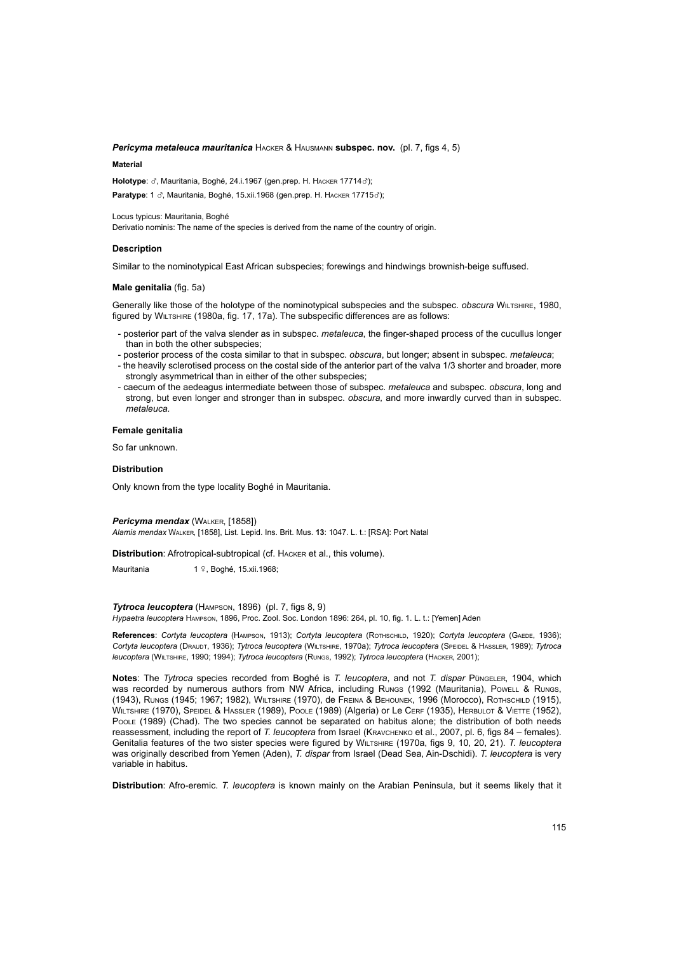# *Pericyma metaleuca mauritanica* Hacker & Hausmann **subspec. nov.** (pl. 7, figs 4, 5)

#### **Material**

Holotype:  $\sigma$ , Mauritania, Boghé, 24.i.1967 (gen.prep. H. HACKER 17714 $\sigma$ ); **Paratype:** 1  $\sigma$ , Mauritania, Boghé, 15.xii.1968 (gen.prep. H. HACKER 17715 $\sigma$ );

Locus typicus: Mauritania, Boghé

Derivatio nominis: The name of the species is derived from the name of the country of origin.

# **Description**

Similar to the nominotypical East African subspecies; forewings and hindwings brownish-beige suffused.

#### **Male genitalia** (fig. 5a)

Generally like those of the holotype of the nominotypical subspecies and the subspec. *obscura* Wiltshire, 1980, figured by WILTSHIRE (1980a, fig. 17, 17a). The subspecific differences are as follows:

- posterior part of the valva slender as in subspec. *metaleuca*, the finger-shaped process of the cucullus longer than in both the other subspecies;
- posterior process of the costa similar to that in subspec. *obscura*, but longer; absent in subspec. *metaleuca*; - the heavily sclerotised process on the costal side of the anterior part of the valva 1/3 shorter and broader, more strongly asymmetrical than in either of the other subspecies;
- caecum of the aedeagus intermediate between those of subspec. *metaleuca* and subspec. *obscura*, long and strong, but even longer and stronger than in subspec. *obscura,* and more inwardly curved than in subspec. *metaleuca.*

# **Female genitalia**

So far unknown.

### **Distribution**

Only known from the type locality Boghé in Mauritania.

#### *Pericyma mendax* (Walker, [1858])

*Alamis mendax* Walker, [1858], List. Lepid. Ins. Brit. Mus. **13**: 1047. L. t.: [RSA]: Port Natal

**Distribution**: Afrotropical-subtropical (cf. Hacker et al., this volume).

Mauritania  $1 \sqrt{2}$ , Boghé, 15.xii.1968;

### *Tytroca leucoptera* (Hampson, 1896) (pl. 7, figs 8, 9)

*Hypaetra leucoptera* Hampson, 1896, Proc. Zool. Soc. London 1896: 264, pl. 10, fig. 1. L. t.: [Yemen] Aden

**References**: *Cortyta leucoptera* (Hampson, 1913); *Cortyta leucoptera* (Rothschild, 1920); *Cortyta leucoptera* (Gaede, 1936); *Cortyta leucoptera* (Draudt, 1936); *Tytroca leucoptera* (Wiltshire, 1970a); *Tytroca leucoptera* (Speidel & Hassler, 1989); *Tytroca leucoptera* (Wiltshire, 1990; 1994); *Tytroca leucoptera* (Rungs, 1992); *Tytroca leucoptera* (Hacker, 2001);

**Notes**: The *Tytroca* species recorded from Boghé is *T. leucoptera*, and not *T. dispar* Püngeler, 1904, which was recorded by numerous authors from NW Africa, including Rungs (1992 (Mauritania), Powell & Rungs, (1943), Rungs (1945; 1967; 1982), Wiltshire (1970), de Freina & Behounek, 1996 (Morocco), Rothschild (1915), Wiltshire (1970), Speidel & Hassler (1989), Poole (1989) (Algeria) or Le Cerf (1935), Herbulot & Viette (1952), Poole (1989) (Chad). The two species cannot be separated on habitus alone; the distribution of both needs reassessment, including the report of *T. leucoptera* from Israel (Kravchenko et al., 2007, pl. 6, figs 84 – females). Genitalia features of the two sister species were figured by Wiltshire (1970a, figs 9, 10, 20, 21). *T. leucoptera*  was originally described from Yemen (Aden), *T. dispar* from Israel (Dead Sea, Ain-Dschidi). *T. leucoptera* is very variable in habitus.

**Distribution**: Afro-eremic. *T. leucoptera* is known mainly on the Arabian Peninsula, but it seems likely that it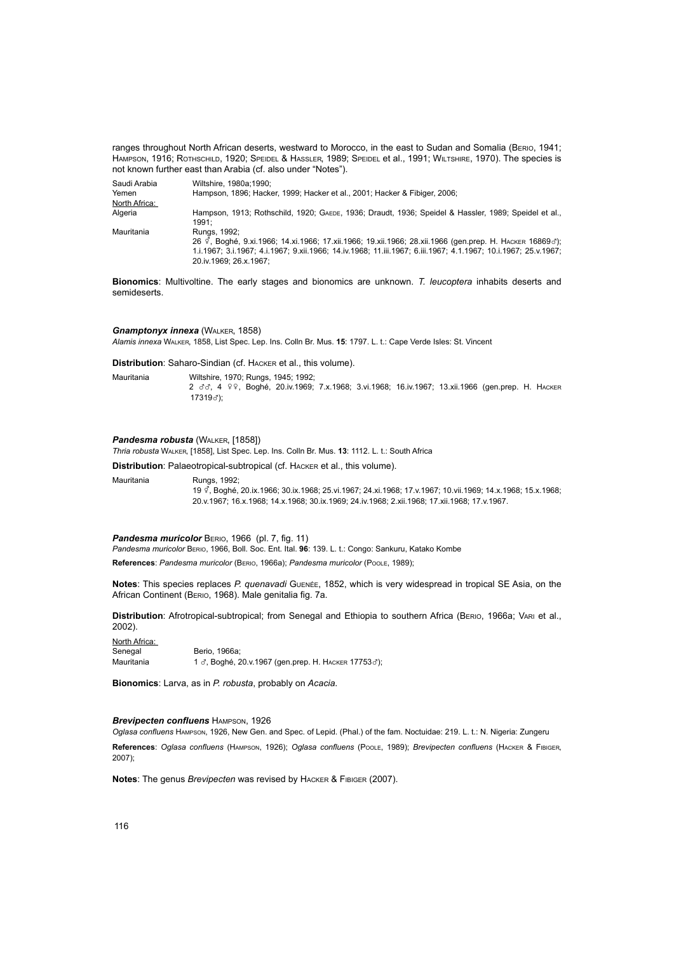ranges throughout North African deserts, westward to Morocco, in the east to Sudan and Somalia (Berio, 1941; Hampson, 1916; Rothschild, 1920; Speidel & Hassler, 1989; Speidel et al., 1991; Wiltshire, 1970). The species is not known further east than Arabia (cf. also under "Notes").

| Saudi Arabia  | Wiltshire, 1980a:1990:                                                                                          |
|---------------|-----------------------------------------------------------------------------------------------------------------|
| Yemen         | Hampson, 1896; Hacker, 1999; Hacker et al., 2001; Hacker & Fibiger, 2006;                                       |
| North Africa: |                                                                                                                 |
| Algeria       | Hampson, 1913; Rothschild, 1920; GAEDE, 1936; Draudt, 1936; Speidel & Hassler, 1989; Speidel et al.,            |
|               | 1991:                                                                                                           |
| Mauritania    | Rungs, 1992;                                                                                                    |
|               | 26 ° воде б. 9.хі. 1966; 14.хі. 1966; 17.хіі. 1966; 19.хіі. 1966; 28.хіі. 1966 (деп. ргер. Н. Наск∈в 16869 с'); |
|               | 1.i.1967: 3.i.1967: 4.i.1967: 9.xii.1966: 14.iv.1968: 11.iii.1967: 6.iii.1967: 4.1.1967: 10.i.1967: 25.v.1967:  |
|               | 20.iv.1969; 26.x.1967;                                                                                          |

**Bionomics**: Multivoltine. The early stages and bionomics are unknown. *T. leucoptera* inhabits deserts and semideserts.

# *Gnamptonyx innexa* (WALKER, 1858)

*Alamis innexa* Walker, 1858, List Spec. Lep. Ins. Colln Br. Mus. **15**: 1797. L. t.: Cape Verde Isles: St. Vincent

**Distribution**: Saharo-Sindian (cf. Hacker et al., this volume).

Mauritania Wiltshire, 1970; Rungs, 1945; 1992; 2 dd, 4 99, Boghé, 20.iv.1969; 7.x.1968; 3.vi.1968; 16.iv.1967; 13.xii.1966 (gen.prep. H. HACKER <sup>17319</sup>x);

# **Pandesma robusta** (WALKER, [1858])

*Thria robusta* Walker, [1858], List Spec. Lep. Ins. Colln Br. Mus. **13**: 1112. L. t.: South Africa

**Distribution**: Palaeotropical-subtropical (cf. Hacker et al., this volume).

Mauritania Rungs, 1992; <sup>19</sup>y, Boghé, 20.ix.1966; 30.ix.1968; 25.vi.1967; 24.xi.1968; 17.v.1967; 10.vii.1969; 14.x.1968; 15.x.1968; 20.v.1967; 16.x.1968; 14.x.1968; 30.ix.1969; 24.iv.1968; 2.xii.1968; 17.xii.1968; 17.v.1967.

*Pandesma muricolor* Berio, 1966 (pl. 7, fig. 11)

*Pandesma muricolor* Berio, 1966, Boll. Soc. Ent. Ital. **96**: 139. L. t.: Congo: Sankuru, Katako Kombe

**References**: *Pandesma muricolor* (Berio, 1966a); *Pandesma muricolor* (Poole, 1989);

**Notes**: This species replaces *P. quenavadi* Guenée, 1852, which is very widespread in tropical SE Asia, on the African Continent (Berio, 1968). Male genitalia fig. 7a.

**Distribution**: Afrotropical-subtropical; from Senegal and Ethiopia to southern Africa (Berio, 1966a; Vari et al., 2002).

North Africa:<br>Senegal Berio, 1966a; Mauritania 1 3, Boghé, 20.v.1967 (gen.prep. H. HACKER 177533);

**Bionomics**: Larva, as in *P. robusta*, probably on *Acacia*.

### *Brevipecten confluens* Hampson, 1926

*Oglasa confluens* Hampson, 1926, New Gen. and Spec. of Lepid. (Phal.) of the fam. Noctuidae: 219. L. t.: N. Nigeria: Zungeru **References**: *Oglasa confluens* (Hampson, 1926); *Oglasa confluens* (Poole, 1989); *Brevipecten confluens* (Hacker & Fibiger, 2007);

**Notes**: The genus *Brevipecten* was revised by Hacker & Fibiger (2007).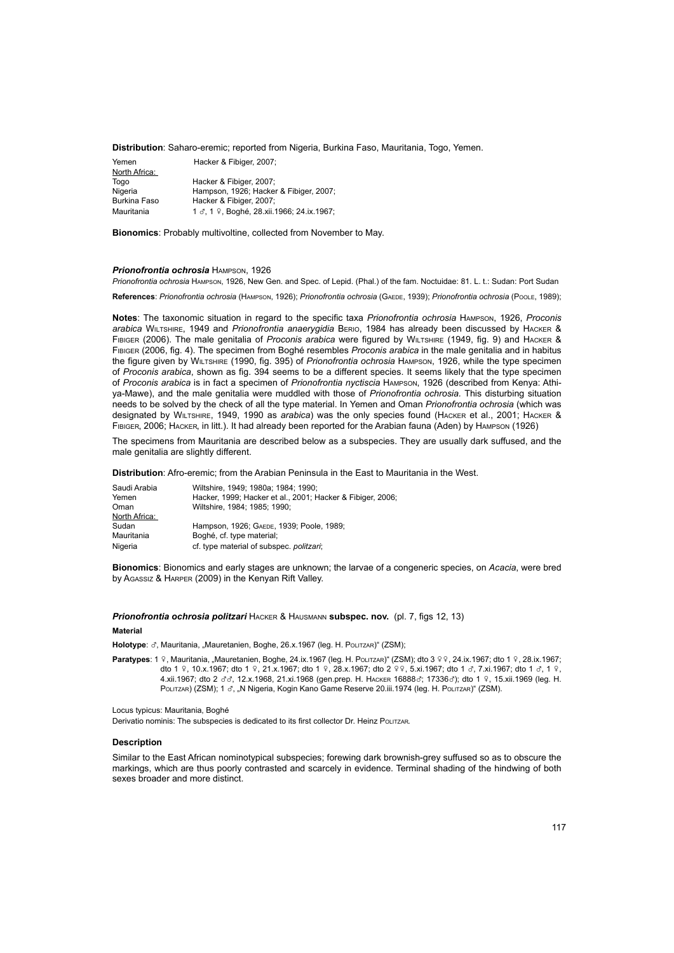# **Distribution**: Saharo-eremic; reported from Nigeria, Burkina Faso, Mauritania, Togo, Yemen.

| Hacker & Fibiger, 2007;                   |
|-------------------------------------------|
|                                           |
| Hacker & Fibiger, 2007:                   |
| Hampson, 1926; Hacker & Fibiger, 2007;    |
| Hacker & Fibiger, 2007;                   |
| 1 3, 1 9, Boghé, 28.xii.1966; 24.ix.1967; |
|                                           |

**Bionomics**: Probably multivoltine, collected from November to May.

### *Prionofrontia ochrosia* Hampson, 1926

*Prionofrontia ochrosia* Hampson, 1926, New Gen. and Spec. of Lepid. (Phal.) of the fam. Noctuidae: 81. L. t.: Sudan: Port Sudan

**References**: *Prionofrontia ochrosia* (Hampson, 1926); *Prionofrontia ochrosia* (Gaede, 1939); *Prionofrontia ochrosia* (Poole, 1989);

**Notes**: The taxonomic situation in regard to the specific taxa *Prionofrontia ochrosia* Hampson, 1926, *Proconis arabica* Wiltshire, 1949 and *Prionofrontia anaerygidia* Berio, 1984 has already been discussed by Hacker & Fibiger (2006). The male genitalia of *Proconis arabica* were figured by Wiltshire (1949, fig. 9) and Hacker & Fibiger (2006, fig. 4). The specimen from Boghé resembles *Proconis arabica* in the male genitalia and in habitus the figure given by Wiltshire (1990, fig. 395) of *Prionofrontia ochrosia* Hampson, 1926, while the type specimen of *Proconis arabica*, shown as fig. 394 seems to be a different species. It seems likely that the type specimen of *Proconis arabica* is in fact a specimen of *Prionofrontia nyctiscia* Hampson, 1926 (described from Kenya: Athiya-Mawe), and the male genitalia were muddled with those of *Prionofrontia ochrosia.* This disturbing situation needs to be solved by the check of all the type material. In Yemen and Oman *Prionofrontia ochrosia* (which was designated by Wiltshire, 1949, 1990 as *arabica*) was the only species found (Hacker et al., 2001; Hacker & Fibiger, 2006; Hacker, in litt.). It had already been reported for the Arabian fauna (Aden) by Hampson (1926)

The specimens from Mauritania are described below as a subspecies. They are usually dark suffused, and the male genitalia are slightly different.

**Distribution**: Afro-eremic; from the Arabian Peninsula in the East to Mauritania in the West.

| Saudi Arabia  | Wiltshire, 1949; 1980a: 1984; 1990;                        |
|---------------|------------------------------------------------------------|
| Yemen         | Hacker, 1999; Hacker et al., 2001; Hacker & Fibiger, 2006; |
| Oman          | Wiltshire, 1984; 1985; 1990;                               |
| North Africa: |                                                            |
| Sudan         | Hampson, 1926; GAEDE, 1939; Poole, 1989;                   |
| Mauritania    | Boghé, cf. type material;                                  |
| Nigeria       | cf. type material of subspec. politzari;                   |

**Bionomics**: Bionomics and early stages are unknown; the larvae of a congeneric species, on *Acacia*, were bred by Agassiz & Harper (2009) in the Kenyan Rift Valley.

**Prionofrontia ochrosia politzari HACKER & HAUSMANN subspec. nov.** (pl. 7, figs 12, 13)

#### **Material**

Holotype:  $\sigma$ , Mauritania, "Mauretanien, Boghe, 26.x.1967 (leg. H. Politzar)" (ZSM);

Paratypes: 1 º, Mauritania, "Mauretanien, Boghe, 24.ix.1967 (leg. H. PoLitzar)" (ZSM); dto 3 º º, 24.ix.1967; dto 1 º, 28.ix.1967; dto 1  $\sqrt{9}$ , 10.x.1967; dto 1  $\sqrt{9}$ , 21.x.1967; dto 1  $\sqrt{9}$ , 28.x.1967; dto 2  $\sqrt{2}$ , 5.xi.1967; dto 1  $\sigma$ , 7.xi.1967; dto 1  $\sigma$ , 1  $\sqrt{9}$ , 4.xii.1967; dto 2 33, 12.x.1968, 21.xi.1968 (gen.prep. H. HACKER 168883; 173363); dto 1 º, 15.xii.1969 (leg. H. Politzar) (ZSM); 1  $\sigma$ , "N Nigeria, Kogin Kano Game Reserve 20.iii.1974 (leg. H. Politzar)" (ZSM).

Locus typicus: Mauritania, Boghé

Derivatio nominis: The subspecies is dedicated to its first collector Dr. Heinz POLITZAR.

# **Description**

Similar to the East African nominotypical subspecies; forewing dark brownish-grey suffused so as to obscure the markings, which are thus poorly contrasted and scarcely in evidence. Terminal shading of the hindwing of both sexes broader and more distinct.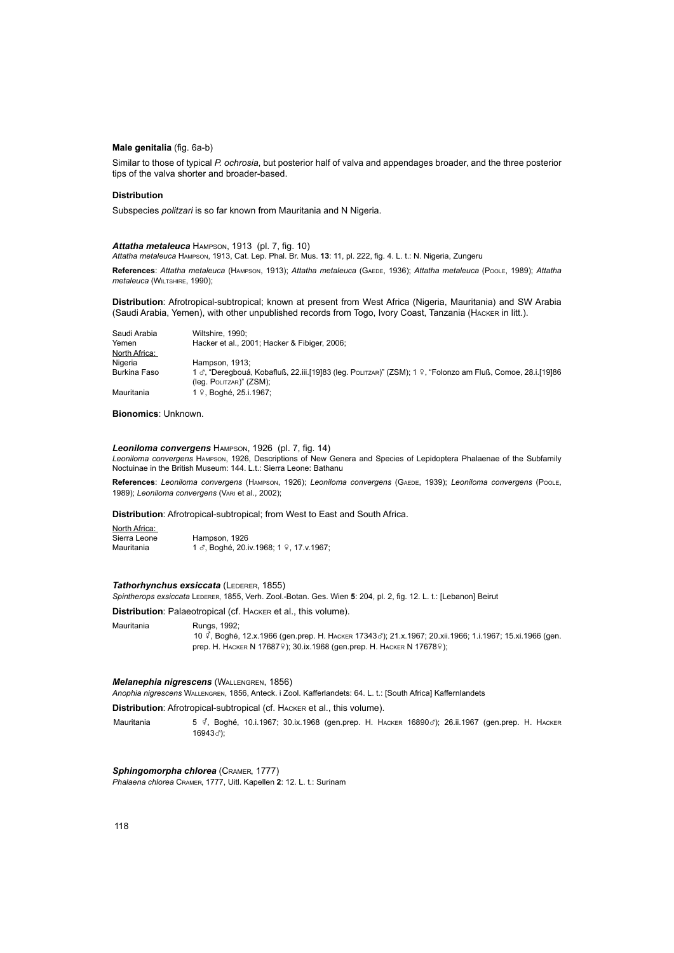# **Male genitalia** (fig. 6a-b)

Similar to those of typical *P. ochrosia*, but posterior half of valva and appendages broader, and the three posterior tips of the valva shorter and broader-based.

### **Distribution**

Subspecies *politzari* is so far known from Mauritania and N Nigeria.

*Attatha metaleuca* Hampson, 1913 (pl. 7, fig. 10) *Attatha metaleuca* Hampson, 1913, Cat. Lep. Phal. Br. Mus. **13**: 11, pl. 222, fig. 4. L. t.: N. Nigeria, Zungeru

**References**: *Attatha metaleuca* (Hampson, 1913); *Attatha metaleuca* (Gaede, 1936); *Attatha metaleuca* (Poole, 1989); *Attatha metaleuca* (Wiltshire, 1990);

**Distribution**: Afrotropical-subtropical; known at present from West Africa (Nigeria, Mauritania) and SW Arabia (Saudi Arabia, Yemen), with other unpublished records from Togo, Ivory Coast, Tanzania (Hacker in litt.).

| Saudi Arabia  | Wiltshire, 1990:                                                                                          |
|---------------|-----------------------------------------------------------------------------------------------------------|
| Yemen         | Hacker et al., 2001; Hacker & Fibiger, 2006;                                                              |
| North Africa: |                                                                                                           |
| Nigeria       | Hampson, 1913:                                                                                            |
| Burkina Faso  | 1 3, "Deregbouá, Kobafluß, 22.iii.[19]83 (leg. Pourzar)" (ZSM); 1 º, "Folonzo am Fluß, Comoe, 28.i.[19]86 |
|               | (leg. POLITZAR)" (ZSM);                                                                                   |
| Mauritania    | 1 º, Boghé, 25.i.1967;                                                                                    |

# **Bionomics**: Unknown.

*Leoniloma convergens* Hampson, 1926 (pl. 7, fig. 14) *Leoniloma convergens* Hampson, 1926, Descriptions of New Genera and Species of Lepidoptera Phalaenae of the Subfamily Noctuinae in the British Museum: 144. L.t.: Sierra Leone: Bathanu

**References**: *Leoniloma convergens* (Hampson, 1926); *Leoniloma convergens* (Gaede, 1939); *Leoniloma convergens* (Poole, 1989); *Leoniloma convergens* (Vari et al., 2002);

**Distribution**: Afrotropical-subtropical; from West to East and South Africa.

#### North Africa:

Sierra Leone Hampson, 1926 Mauritania 1 d, Boghé, 20.iv.1968; 1 9, 17.v.1967;

# **Tathorhynchus exsiccata (LEDERER, 1855)**

Spintherops exsiccata LEDERER, 1855, Verh. Zool.-Botan. Ges. Wien 5: 204, pl. 2, fig. 12. L. t.: [Lebanon] Beirut

**Distribution**: Palaeotropical (cf. Hacker et al., this volume).

Mauritania Rungs, 1992; <sup>10</sup>y, Boghé, 12.x.1966 (gen.prep. H. Hacker 17343x); 21.x.1967; 20.xii.1966; 1.i.1967; 15.xi.1966 (gen. prep. Н. Наскев N 176879); 30.ix.1968 (gen.prep. Н. Наскев N 176789);

### *Melanephia nigrescens* (Wallengren, 1856)

*Anophia nigrescens* Wallengren, 1856, Anteck. i Zool. Kafferlandets: 64. L. t.: [South Africa] Kaffernlandets

**Distribution**: Afrotropical-subtropical (cf. Hacker et al., this volume).

Mauritania 5  $\frac{3}{5}$ , Boghé, 10.i.1967; 30.ix.1968 (gen.prep. Н. Наскев 16890*3*); 26.ii.1967 (gen.prep. Н. Наскев 16943d);

**Sphingomorpha chlorea** (CRAMER, 1777) *Phalaena chlorea* Cramer, 1777, Uitl. Kapellen **2**: 12. L. t.: Surinam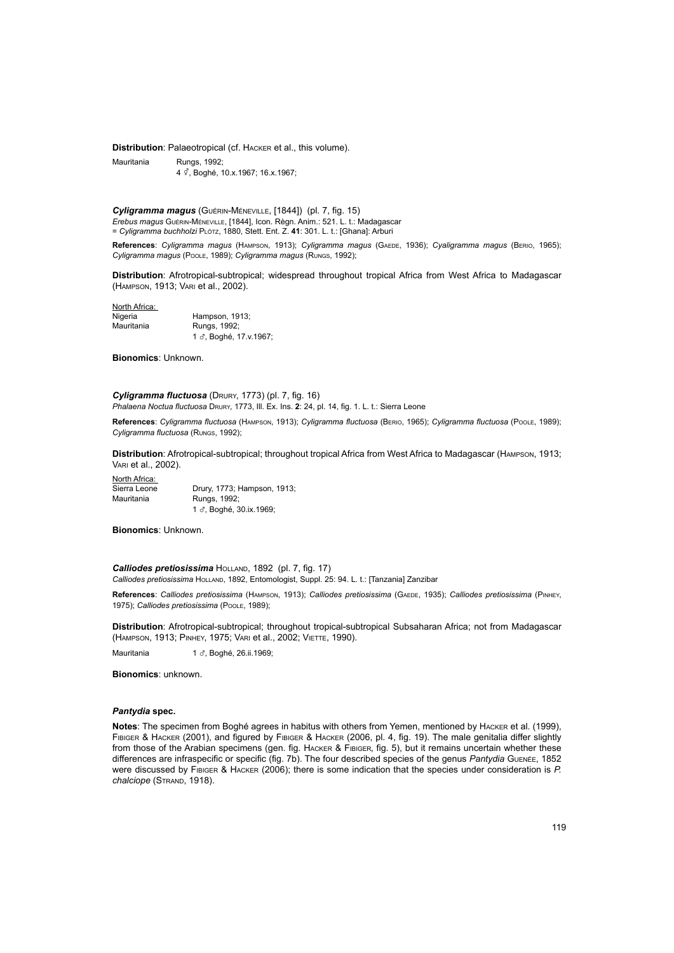**Distribution**: Palaeotropical (cf. Hacker et al., this volume).

Mauritania Rungs, 1992; 4 ° Boghé, 10.x.1967; 16.x.1967;

*Cyligramma magus* (Guérin-Méneville, [1844]) (pl. 7, fig. 15) *Erebus magus* Guérin-Méneville, [1844], Icon. Règn. Anim.: 521. L. t.: Madagascar

= *Cyligramma buchholzi* Plötz, 1880, Stett. Ent. Z. **41**: 301. L. t.: [Ghana]: Arburi

**References**: *Cyligramma magus* (Hampson, 1913); *Cyligramma magus* (Gaede, 1936); *Cyaligramma magus* (Berio, 1965); *Cyligramma magus* (Poole, 1989); *Cyligramma magus* (Rungs, 1992);

**Distribution**: Afrotropical-subtropical; widespread throughout tropical Africa from West Africa to Madagascar (Hampson, 1913; Vari et al., 2002).

North Africa:<br>Nigeria Nigeria Hampson, 1913;<br>Mauritania Rungs 1992; Rungs, 1992; 1 3, Boghé, 17.v.1967;

**Bionomics**: Unknown.

*Cyligramma fluctuosa* (Drury, 1773) (pl. 7, fig. 16) *Phalaena Noctua fluctuosa* Drury, 1773, Ill. Ex. Ins. **2**: 24, pl. 14, fig. 1. L. t.: Sierra Leone

**References**: *Cyligramma fluctuosa* (Hampson, 1913); *Cyligramma fluctuosa* (Berio, 1965); *Cyligramma fluctuosa* (Poole, 1989); *Cyligramma fluctuosa* (Rungs, 1992);

**Distribution**: Afrotropical-subtropical; throughout tropical Africa from West Africa to Madagascar (Hampson, 1913; Vari et al., 2002).

North Africa:<br>Sierra Leone Sierra Leone Drury, 1773; Hampson, 1913;<br>
Mauritania Rungs, 1992; Rungs, 1992; 1 3. Boghé, 30.ix.1969;

**Bionomics**: Unknown.

**Calliodes pretiosissima** HOLLAND, 1892 (pl. 7, fig. 17) *Calliodes pretiosissima* Holland, 1892, Entomologist, Suppl. 25: 94. L. t.: [Tanzania] Zanzibar

**References**: *Calliodes pretiosissima* (Hampson, 1913); *Calliodes pretiosissima* (Gaede, 1935); *Calliodes pretiosissima* (Pinhey, 1975); *Calliodes pretiosissima* (Poole, 1989);

**Distribution**: Afrotropical-subtropical; throughout tropical-subtropical Subsaharan Africa; not from Madagascar (Hampson, 1913; Pinhey, 1975; Vari et al., 2002; Viette, 1990).

Mauritania 1 x, Boghé, 26.ii.1969;

**Bionomics**: unknown.

# *Pantydia* **spec.**

**Notes**: The specimen from Boghé agrees in habitus with others from Yemen, mentioned by Hacker et al. (1999), Fibiger & Hacker (2001), and figured by Fibiger & Hacker (2006, pl. 4, fig. 19). The male genitalia differ slightly from those of the Arabian specimens (gen. fig. HACKER & FIBIGER, fig. 5), but it remains uncertain whether these differences are infraspecific or specific (fig. 7b). The four described species of the genus *Pantydia* Guenée, 1852 were discussed by Fibiger & Hacker (2006); there is some indication that the species under consideration is *P.*  chalciope (STRAND, 1918).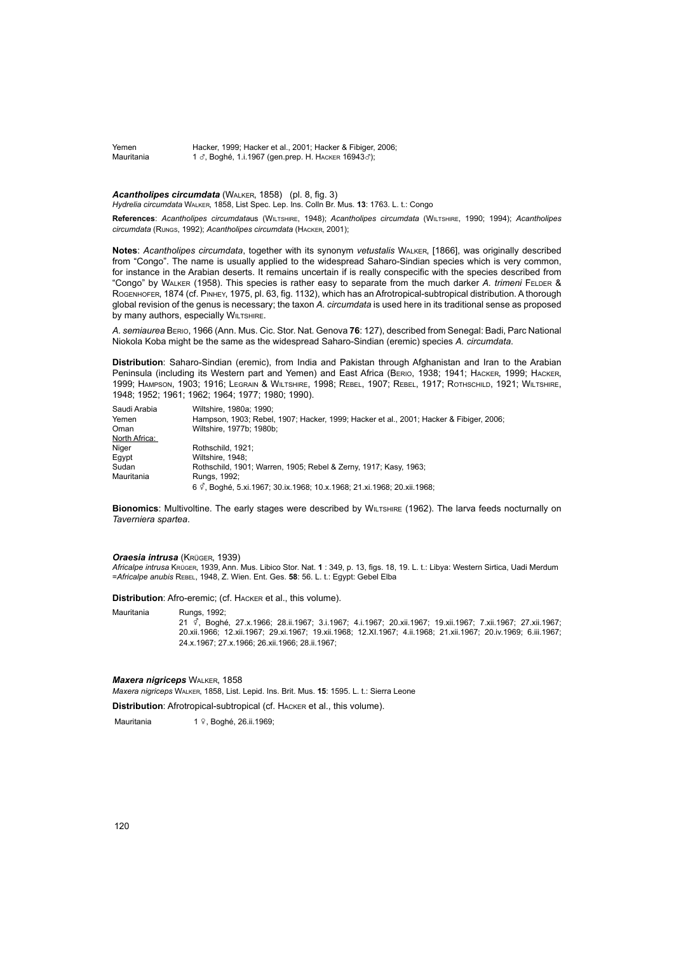Yemen Hacker, 1999; Hacker et al., 2001; Hacker & Fibiger, 2006;<br>Mauritania 1 & Boghé 1 i 1967 (gen prep. H. Hacker 16943&); 1  $\sigma$ . Boghé, 1.i.1967 (gen.prep. H. HACKER 16943 $\sigma$ );

*Acantholipes circumdata* (Walker, 1858) (pl. 8, fig. 3) *Hydrelia circumdata* Walker, 1858, List Spec. Lep. Ins. Colln Br. Mus. **13**: 1763. L. t.: Congo

**References**: *Acantholipes circumdata*us (Wiltshire, 1948); *Acantholipes circumdata* (Wiltshire, 1990; 1994); *Acantholipes circumdata* (Rungs, 1992); *Acantholipes circumdata* (Hacker, 2001);

**Notes**: *Acantholipes circumdata*, together with its synonym *vetustalis* Walker, [1866], was originally described from "Congo". The name is usually applied to the widespread Saharo-Sindian species which is very common, for instance in the Arabian deserts. It remains uncertain if is really conspecific with the species described from "Congo" by Walker (1958). This species is rather easy to separate from the much darker *A. trimeni* Felder & Rogenhofer, 1874 (cf. Pinhey, 1975, pl. 63, fig. 1132), which has an Afrotropical-subtropical distribution. A thorough global revision of the genus is necessary; the taxon *A. circumdata* is used here in its traditional sense as proposed **by many authors, especially WILTSHIRE.** 

*A. semiaurea* Berio, 1966 (Ann. Mus. Cic. Stor. Nat. Genova **76**: 127), described from Senegal: Badi, Parc National Niokola Koba might be the same as the widespread Saharo-Sindian (eremic) species *A. circumdata*.

**Distribution**: Saharo-Sindian (eremic), from India and Pakistan through Afghanistan and Iran to the Arabian Peninsula (including its Western part and Yemen) and East Africa (BERIO, 1938; 1941; HACKER, 1999; HACKER, 1999; Hampson, 1903; 1916; Legrain & Wiltshire, 1998; Rebel, 1907; Rebel, 1917; Rothschild, 1921; Wiltshire, 1948; 1952; 1961; 1962; 1964; 1977; 1980; 1990).

| Saudi Arabia  | Wiltshire, 1980a: 1990:                                                                |
|---------------|----------------------------------------------------------------------------------------|
| Yemen         | Hampson, 1903; Rebel, 1907; Hacker, 1999; Hacker et al., 2001; Hacker & Fibiger, 2006; |
| Oman          | Wiltshire, 1977b: 1980b:                                                               |
| North Africa: |                                                                                        |
| Niger         | Rothschild, 1921:                                                                      |
| Eqvpt         | Wiltshire, 1948:                                                                       |
| Sudan         | Rothschild, 1901; Warren, 1905; Rebel & Zerny, 1917; Kasy, 1963;                       |
| Mauritania    | Rungs, 1992;                                                                           |
|               | 6 <sup>c</sup> , Boghé, 5.xi.1967; 30.ix.1968; 10.x.1968; 21.xi.1968; 20.xii.1968;     |

**Bionomics:** Multivoltine. The early stages were described by WILTSHIRE (1962). The larva feeds nocturnally on *Taverniera spartea*.

# *Oraesia intrusa* (Krüger, 1939)

*Africalpe intrusa* Krüger, 1939, Ann. Mus. Libico Stor. Nat. **1** : 349, p. 13, figs. 18, 19. L. t.: Libya: Western Sirtica, Uadi Merdum =*Africalpe anubis* Rebel, 1948, Z. Wien. Ent. Ges. **58**: 56. L. t.: Egypt: Gebel Elba

**Distribution**: Afro-eremic; (cf. Hacker et al., this volume).

Mauritania Rungs, 1992;

<sup>21</sup>y, Boghé, 27.x.1966; 28.ii.1967; 3.i.1967; 4.i.1967; 20.xii.1967; 19.xii.1967; 7.xii.1967; 27.xii.1967; 20.xii.1966; 12.xii.1967; 29.xi.1967; 19.xii.1968; 12.XI.1967; 4.ii.1968; 21.xii.1967; 20.iv.1969; 6.iii.1967; 24.x.1967; 27.x.1966; 26.xii.1966; 28.ii.1967;

#### *Maxera nigriceps* Walker, 1858

*Maxera nigriceps* Walker, 1858, List. Lepid. Ins. Brit. Mus. **15**: 1595. L. t.: Sierra Leone

**Distribution**: Afrotropical-subtropical (cf. Hacker et al., this volume).

Mauritania 1 º, Boghé, 26.ii.1969;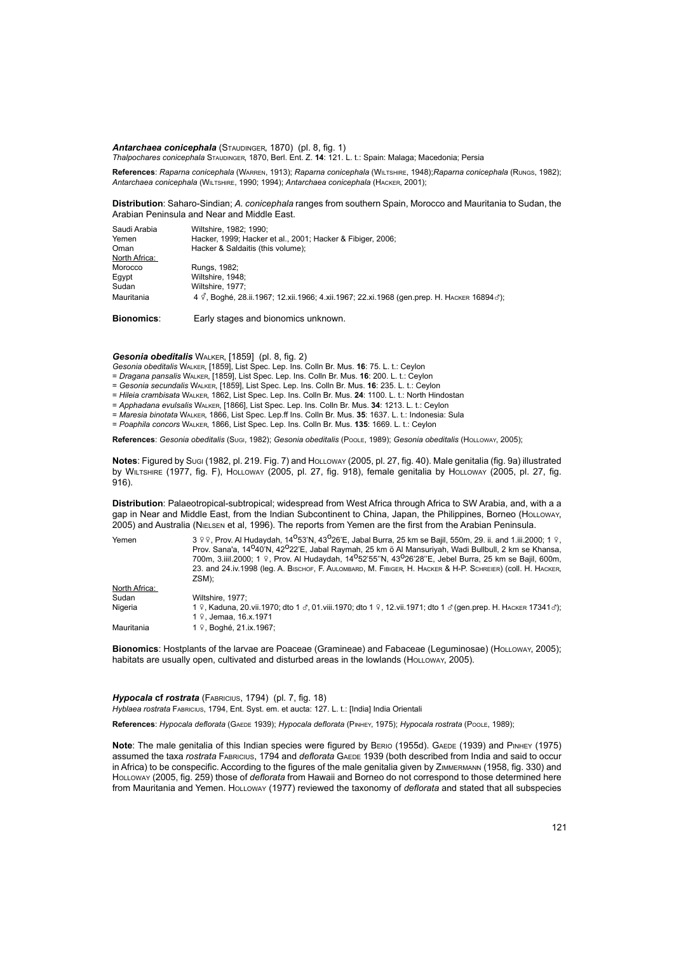Antarchaea conicephala (STAUDINGER, 1870) (pl. 8, fig. 1) *Thalpochares conicephala* Staudinger, 1870, Berl. Ent. Z. **14**: 121. L. t.: Spain: Malaga; Macedonia; Persia

**References**: *Raparna conicephala* (Warren, 1913); *Raparna conicephala* (Wiltshire, 1948);*Raparna conicephala* (Rungs, 1982); *Antarchaea conicephala* (Wiltshire, 1990; 1994); *Antarchaea conicephala* (Hacker, 2001);

**Distribution**: Saharo-Sindian; *A. conicephala* ranges from southern Spain, Morocco and Mauritania to Sudan, the Arabian Peninsula and Near and Middle East.

| Saudi Arabia<br>Yemen | Wiltshire, 1982: 1990:<br>Hacker, 1999; Hacker et al., 2001; Hacker & Fibiger, 2006;                                    |
|-----------------------|-------------------------------------------------------------------------------------------------------------------------|
| Oman                  | Hacker & Saldaitis (this volume);                                                                                       |
| North Africa:         |                                                                                                                         |
| Morocco               | Rungs, 1982;                                                                                                            |
| Eqypt                 | Wiltshire, 1948:                                                                                                        |
| Sudan                 | Wiltshire, 1977:                                                                                                        |
| Mauritania            | 4 $\vec{\varphi}$ , Boghé, 28.ii.1967; 12.xii.1966; 4.xii.1967; 22.xi.1968 (gen.prep. Н. Наскев 16894 $\vec{\sigma}$ ); |

**Bionomics**: Early stages and bionomics unknown.

*Gesonia obeditalis* Walker, [1859] (pl. 8, fig. 2)

*Gesonia obeditalis* Walker, [1859], List Spec. Lep. Ins. Colln Br. Mus. **16**: 75. L. t.: Ceylon

- = *Dragana pansalis* Walker, [1859], List Spec. Lep. Ins. Colln Br. Mus. **16**: 200. L. t.: Ceylon
- = *Gesonia secundalis* Walker, [1859], List Spec. Lep. Ins. Colln Br. Mus. **16**: 235. L. t.: Ceylon
- = *Hileia crambisata* Walker, 1862, List Spec. Lep. Ins. Colln Br. Mus. **24**: 1100. L. t.: North Hindostan
- = *Apphadana evulsalis* Walker, [1866], List Spec. Lep. Ins. Colln Br. Mus. **34**: 1213. L. t.: Ceylon
- = *Maresia binotata* Walker, 1866, List Spec. Lep.ff Ins. Colln Br. Mus. **35**: 1637. L. t.: Indonesia: Sula
- = *Poaphila concors* Walker, 1866, List Spec. Lep. Ins. Colln Br. Mus. **135**: 1669. L. t.: Ceylon

**References**: *Gesonia obeditalis* (Sugi, 1982); *Gesonia obeditalis* (Poole, 1989); *Gesonia obeditalis* (Holloway, 2005);

**Notes**: Figured by Sugi (1982, pl. 219. Fig. 7) and Holloway (2005, pl. 27, fig. 40). Male genitalia (fig. 9a) illustrated by Wiltshire (1977, fig. F), Holloway (2005, pl. 27, fig. 918), female genitalia by Holloway (2005, pl. 27, fig. 916).

**Distribution**: Palaeotropical-subtropical; widespread from West Africa through Africa to SW Arabia, and, with a a gap in Near and Middle East, from the Indian Subcontinent to China, Japan, the Philippines, Borneo (HoLLoway, 2005) and Australia (Nielsen et al, 1996). The reports from Yemen are the first from the Arabian Peninsula.

| Yemen         | 3 º º, Prov. Al Hudaydah, 14 <sup>0</sup> 53'N, 43 <sup>0</sup> 26'E, Jabal Burra, 25 km se Bajil, 550m, 29. ii. and 1.iii.2000; 1 º,<br>Prov. Sana'a, 14 <sup>0</sup> 40'N, 42 <sup>0</sup> 22'E, Jabal Raymah, 25 km ö Al Mansuriyah, Wadi Bullbull, 2 km se Khansa,<br>700m, 3.iiil.2000; 1 º, Prov. Al Hudaydah, 14 <sup>0</sup> 52'55"N, 43 <sup>0</sup> 26'28"E, Jebel Burra, 25 km se Bajil, 600m,<br>23. and 24.iv.1998 (leg. A. Bischof, F. Aulombard, M. Fibiger, H. HACKER & H-P. SCHREIER) (COII. H. HACKER,<br>ZSM): |
|---------------|-----------------------------------------------------------------------------------------------------------------------------------------------------------------------------------------------------------------------------------------------------------------------------------------------------------------------------------------------------------------------------------------------------------------------------------------------------------------------------------------------------------------------------------|
| North Africa: |                                                                                                                                                                                                                                                                                                                                                                                                                                                                                                                                   |
| Sudan         | Wiltshire, 1977;                                                                                                                                                                                                                                                                                                                                                                                                                                                                                                                  |
| Nigeria       | 1 º, Kaduna, 20. vii. 1970; dto 1 ♂, 01. viii. 1970; dto 1 º, 12. vii. 1971; dto 1 ♂ (gen. prep. H. HACKER 17341♂);<br>1 º, Jemaa, 16.x.1971                                                                                                                                                                                                                                                                                                                                                                                      |
| Mauritania    | 1 º. Boghé, 21.ix.1967:                                                                                                                                                                                                                                                                                                                                                                                                                                                                                                           |

**Bionomics**: Hostplants of the larvae are Poaceae (Gramineae) and Fabaceae (Leguminosae) (HoLLOWAY, 2005); habitats are usually open, cultivated and disturbed areas in the lowlands (HOLLOWAY, 2005).

*Hypocala* **cf** *rostrata* (Fabricius, 1794) (pl. 7, fig. 18)

*Hyblaea rostrata* Fabricius, 1794, Ent. Syst. em. et aucta: 127. L. t.: [India] India Orientali

**References**: *Hypocala deflorata* (Gaede 1939); *Hypocala deflorata* (Pinhey, 1975); *Hypocala rostrata* (Poole, 1989);

**Note**: The male genitalia of this Indian species were figured by BERIO (1955d). GAEDE (1939) and PINHEY (1975) assumed the taxa *rostrata* FABRICIUS, 1794 and *deflorata* GAEDE 1939 (both described from India and said to occur in Africa) to be conspecific. According to the figures of the male genitalia given by Zimmermann (1958, fig. 330) and Holloway (2005, fig. 259) those of *deflorata* from Hawaii and Borneo do not correspond to those determined here from Mauritania and Yemen. HoLLoway (1977) reviewed the taxonomy of *deflorata* and stated that all subspecies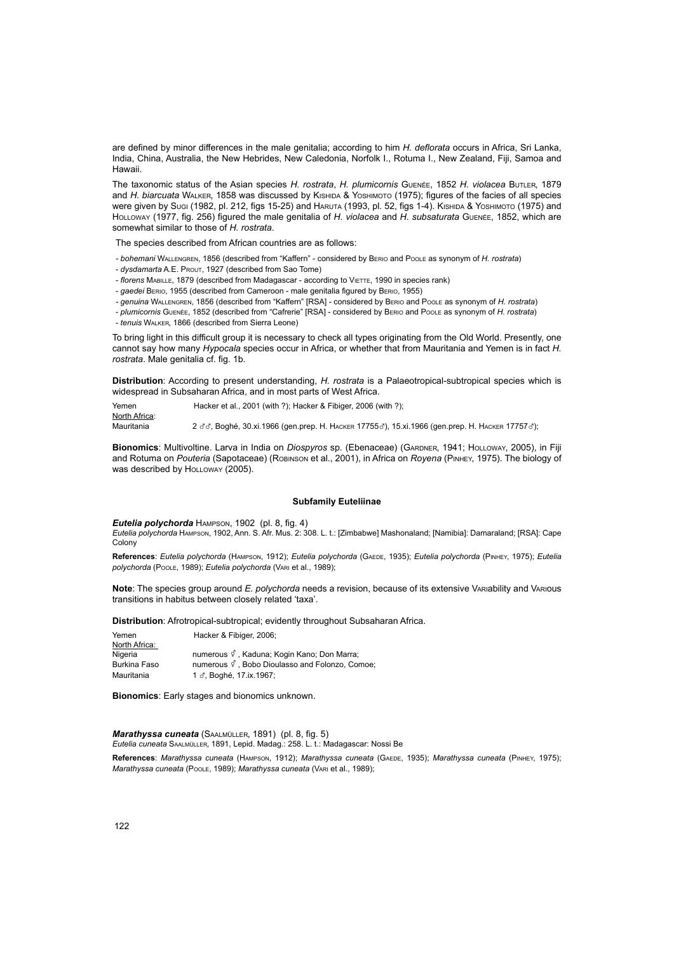are defined by minor differences in the male genitalia; according to him *H. deflorata* occurs in Africa, Sri Lanka, India, China, Australia, the New Hebrides, New Caledonia, Norfolk I., Rotuma I., New Zealand, Fiji, Samoa and Hawaii.

The taxonomic status of the Asian species *H. rostrata*, *H. plumicornis* Guenée, 1852 *H. violacea* Butler, 1879 and *H. biarcuata* Walker, 1858 was discussed by Kishida & Yoshimoto (1975); figures of the facies of all species Were given by Sugi (1982, pl. 212, figs 15-25) and HARUTA (1993, pl. 52, figs 1-4). Kishida & Yoshimoto (1975) and Holloway (1977, fig. 256) figured the male genitalia of *H. violacea* and *H. subsaturata* Guenée, 1852, which are somewhat similar to those of *H. rostrata*.

The species described from African countries are as follows:

- *bohemani* Wallengren, 1856 (described from "Kaffern" considered by Berio and Poole as synonym of *H. rostrata*)
- *dysdamarta* A.E. Prout, 1927 (described from Sao Tome)
- *florens* MABILLE, 1879 (described from Madagascar according to VIETTE, 1990 in species rank)
- *gaedei* Berio, 1955 (described from Cameroon male genitalia figured by Berio, 1955)
- *genuina* Wallengren, 1856 (described from "Kaffern" [RSA] considered by Berio and Poole as synonym of *H. rostrata*)

- *plumicornis* Guenée, 1852 (described from "Cafrerie" [RSA] - considered by Berio and Poole as synonym of *H. rostrata*)

- *tenuis* Walker, 1866 (described from Sierra Leone)

To bring light in this difficult group it is necessary to check all types originating from the Old World. Presently, one cannot say how many *Hypocala* species occur in Africa, or whether that from Mauritania and Yemen is in fact *H. rostrata*. Male genitalia cf. fig. 1b.

**Distribution**: According to present understanding, *H. rostrata* is a Palaeotropical-subtropical species which is widespread in Subsaharan Africa, and in most parts of West Africa.

Yemen Hacker et al., 2001 (with ?); Hacker & Fibiger, 2006 (with ?); North Africa: Mauritania 2 33, Boghé, 30.xi.1966 (gen.prep. H. HAcker 177553), 15.xi.1966 (gen.prep. H. Hacker 177573);

Bionomics: Multivoltine. Larva in India on *Diospyros* sp. (Ebenaceae) (GARDNER, 1941; HoLLOWAY, 2005), in Fiji and Rotuma on *Pouteria* (Sapotaceae) (Robinson et al., 2001), in Africa on *Royena* (Pinhey, 1975). The biology of was described by HoLLOWAY (2005).

# **Subfamily Euteliinae**

*Eutelia polychorda* Hampson, 1902 (pl. 8, fig. 4)

*Eutelia polychorda* Hampson, 1902, Ann. S. Afr. Mus. 2: 308. L. t.: [Zimbabwe] Mashonaland; [Namibia]: Damaraland; [RSA]: Cape Colony

**References**: *Eutelia polychorda* (Hampson, 1912); *Eutelia polychorda* (Gaede, 1935); *Eutelia polychorda* (Pinhey, 1975); *Eutelia polychorda* (Poole, 1989); *Eutelia polychorda* (Vari et al., 1989);

**Note**: The species group around *E. polychorda* needs a revision, because of its extensive Variability and Various transitions in habitus between closely related 'taxa'.

**Distribution**: Afrotropical-subtropical; evidently throughout Subsaharan Africa.

| Yemen         | Hacker & Fibiger, 2006;                                       |
|---------------|---------------------------------------------------------------|
| North Africa: |                                                               |
| Nigeria       | numerous <i>§</i> . Kaduna: Kogin Kano: Don Marra:            |
| Burkina Faso  | numerous $\vec{\varphi}$ , Bobo Dioulasso and Folonzo, Comoe; |
| Mauritania    | 1 ♂, Boghé, 17.ix.1967;                                       |

**Bionomics**: Early stages and bionomics unknown.

*Marathyssa cuneata* (Saalmüller, 1891) (pl. 8, fig. 5) *Eutelia cuneata* Saalmüller, 1891, Lepid. Madag.: 258. L. t.: Madagascar: Nossi Be

**References**: *Marathyssa cuneata* (Hampson, 1912); *Marathyssa cuneata* (Gaede, 1935); *Marathyssa cuneata* (Pinhey, 1975); *Marathyssa cuneata* (Poole, 1989); *Marathyssa cuneata* (Vari et al., 1989);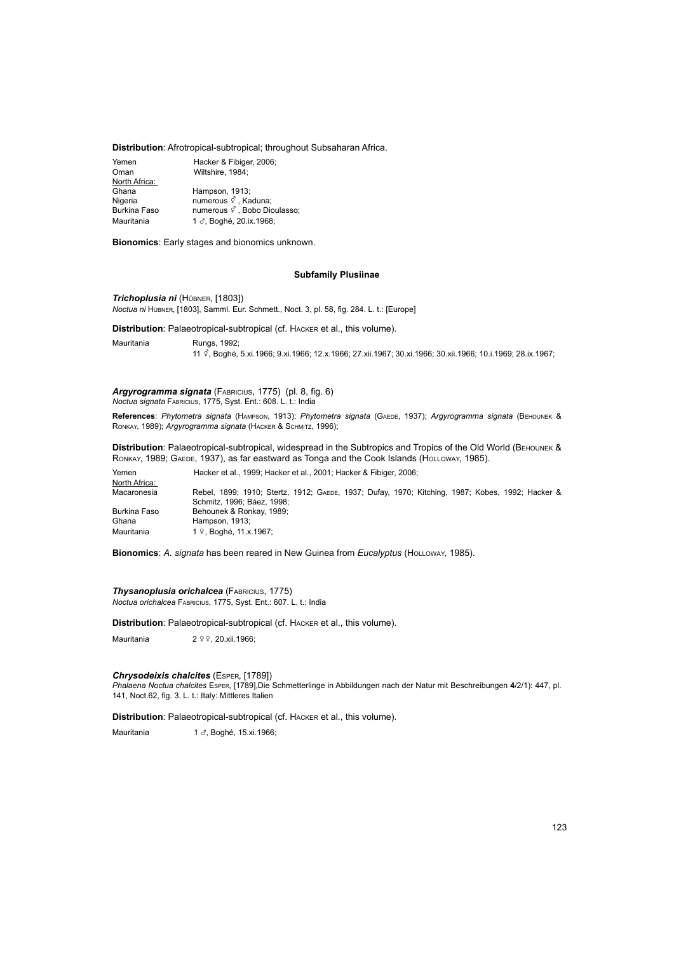# **Distribution**: Afrotropical-subtropical; throughout Subsaharan Africa.

| Yemen               | Hacker & Fibiger, 2006;                    |
|---------------------|--------------------------------------------|
| Oman                | Wiltshire, 1984;                           |
| North Africa:       |                                            |
| Ghana               | Hampson, 1913;                             |
| Nigeria             | numerous of , Kaduna;                      |
| <b>Burkina Faso</b> | numerous $\vec{\varphi}$ , Bobo Dioulasso; |
| Mauritania          | 1 3, Boghé, 20.ix.1968;                    |

**Bionomics**: Early stages and bionomics unknown.

# **Subfamily Plusiinae**

*Trichoplusia ni* (Hübner, [1803]) *Noctua ni* Hübner, [1803], Samml. Eur. Schmett., Noct. 3, pl. 58, fig. 284. L. t.: [Europe]

**Distribution**: Palaeotropical-subtropical (cf. Hacker et al., this volume).

Mauritania Rungs, 1992; <sup>11</sup>y, Boghé, 5.xi.1966; 9.xi.1966; 12.x.1966; 27.xii.1967; 30.xi.1966; 30.xii.1966; 10.i.1969; 28.ix.1967;

# *Argyrogramma signata* (Fabricius, 1775) (pl. 8, fig. 6)

*Noctua signata* Fabricius, 1775, Syst. Ent.: 608. L. t.: India

**References**: *Phytometra signata* (Hampson, 1913); *Phytometra signata* (Gaede, 1937); *Argyrogramma signata* (Behounek & Ronkay, 1989); *Argyrogramma signata* (Hacker & Schmitz, 1996);

**Distribution**: Palaeotropical-subtropical, widespread in the Subtropics and Tropics of the Old World (BEHOUNEK & RONKAY, 1989; GAEDE, 1937), as far eastward as Tonga and the Cook Islands (HOLLOWAY, 1985).

Yemen Hacker et al., 1999; Hacker et al., 2001; Hacker & Fibiger, 2006; North Africa:<br>Macaronesia Rebel, 1899; 1910; Stertz, 1912; GAEDE, 1937; Dufay, 1970; Kitching, 1987; Kobes, 1992; Hacker & Schmitz, 1996; Báez, 1998; Burkina Faso Behounek & Ronkay, 1989;<br>Ghana Hampson 1913; Hampson, 1913; Mauritania 1 º, Boghé, 11.x.1967;

**Bionomics**: *A. signata* has been reared in New Guinea from *Eucalyptus* (Holloway, 1985).

*Thysanoplusia orichalcea* (Fabricius, 1775) *Noctua orichalcea* Fabricius, 1775, Syst. Ent.: 607. L. t.: India

**Distribution**: Palaeotropical-subtropical (cf. Hacker et al., this volume).

Mauritania  $2 \sqrt{2} \sqrt{2}$ , 20.xii.1966;

### *Chrysodeixis chalcites* (Esper, [1789])

*Phalaena Noctua chalcites* Esper, [1789],Die Schmetterlinge in Abbildungen nach der Natur mit Beschreibungen **4**/2/1): 447, pl. 141, Noct.62, fig. 3. L. t.: Italy: Mittleres Italien

**Distribution**: Palaeotropical-subtropical (cf. Hacker et al., this volume).

Mauritania 1 3, Boghé, 15.xi.1966;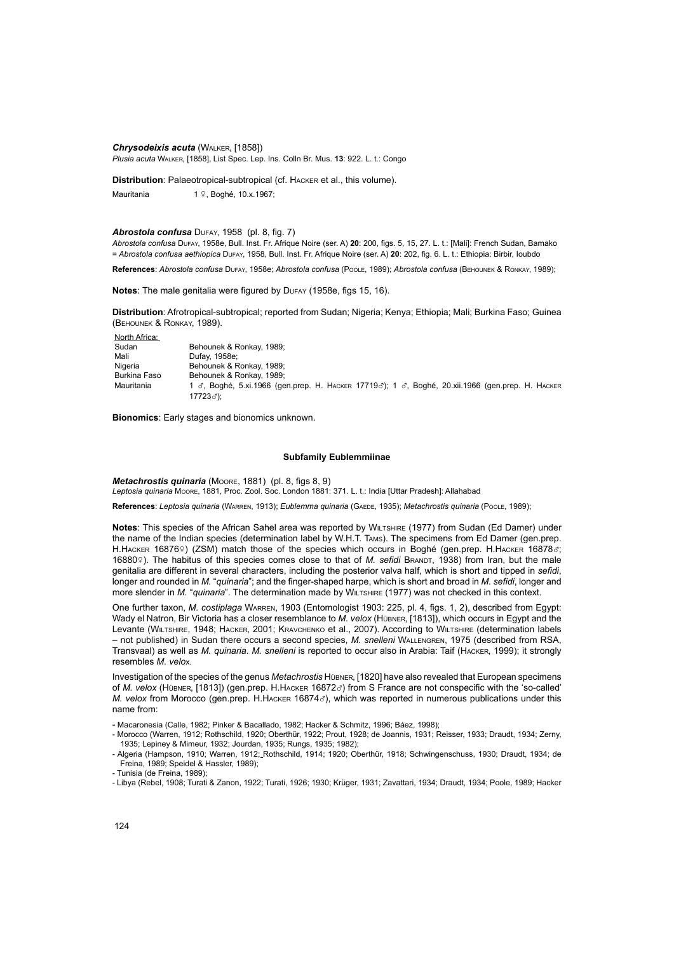*Chrysodeixis acuta* (Walker, [1858]) *Plusia acuta* Walker, [1858], List Spec. Lep. Ins. Colln Br. Mus. **13**: 922. L. t.: Congo

**Distribution**: Palaeotropical-subtropical (cf. Hacker et al., this volume).

Mauritania  $1 \sqrt{2}$ , Boghé, 10.x.1967;

# *Abrostola confusa* Dufay, 1958 (pl. 8, fig. 7)

*Abrostola confusa* Dufay, 1958e, Bull. Inst. Fr. Afrique Noire (ser. A) **20**: 200, figs. 5, 15, 27. L. t.: [Mali]: French Sudan, Bamako = *Abrostola confusa aethiopica* Dufay, 1958, Bull. Inst. Fr. Afrique Noire (ser. A) **20**: 202, fig. 6. L. t.: Ethiopia: Birbir, Ioubdo

**References**: *Abrostola confusa* Dufay, 1958e; *Abrostola confusa* (Poole, 1989); *Abrostola confusa* (Behounek & Ronkay, 1989);

Notes: The male genitalia were figured by DuFAY (1958e, figs 15, 16).

**Distribution**: Afrotropical-subtropical; reported from Sudan; Nigeria; Kenya; Ethiopia; Mali; Burkina Faso; Guinea (Behounek & Ronkay, 1989).

North Africa:<br>Sudan Sudan Behounek & Ronkay, 1989;<br>Mali Dufay 1958e: Mali Dufay, 1958e;<br>Nigeria Behounek & F Nigeria Behounek & Ronkay, 1989;<br>Burkina Faso Behounek & Ronkay, 1989; Behounek & Ronkay, 1989; Mauritania 1 c, Boghé, 5.xi.1966 (gen.prep. Н. Наскек 17719c); 1 c, Boghé, 20.xii.1966 (gen.prep. Н. Наскек <sup>17723</sup>x);

**Bionomics**: Early stages and bionomics unknown.

# **Subfamily Eublemmiinae**

*Metachrostis quinaria* (Moore, 1881) (pl. 8, figs 8, 9) *Leptosia quinaria* Moore, 1881, Proc. Zool. Soc. London 1881: 371. L. t.: India [Uttar Pradesh]: Allahabad

**References**: *Leptosia quinaria* (Warren, 1913); *Eublemma quinaria* (Gaede, 1935); *Metachrostis quinaria* (Poole, 1989);

**Notes**: This species of the African Sahel area was reported by Wiltshire (1977) from Sudan (Ed Damer) under the name of the Indian species (determination label by W.H.T. Tams). The specimens from Ed Damer (gen.prep. H.HACKER 16876º) (ZSM) match those of the species which occurs in Boghé (gen.prep. H.HACKER 16878c; 16880°). The habitus of this species comes close to that of *M. sefidi* BRANDT, 1938) from Iran, but the male genitalia are different in several characters, including the posterior valva half, which is short and tipped in *sefidi*, longer and rounded in *M.* "*quinaria*"; and the finger-shaped harpe, which is short and broad in *M. sefidi*, longer and more slender in *M.* "*quinaria*". The determination made by WILTSHIRE (1977) was not checked in this context.

One further taxon, *M. costiplaga* Warren, 1903 (Entomologist 1903: 225, pl. 4, figs. 1, 2), described from Egypt: Wady el Natron, Bir Victoria has a closer resemblance to *M. velox* (Hübner, [1813]), which occurs in Egypt and the Levante (WILTSHIRE, 1948; HACKER, 2001; KRAVCHENKO et al., 2007). According to WILTSHIRE (determination labels – not published) in Sudan there occurs a second species, *M. snelleni* Wallengren, 1975 (described from RSA, Transvaal) as well as *M. quinaria*. *M. snelleni* is reported to occur also in Arabia: Taif (Hacker, 1999); it strongly resembles *M. velo*x.

Investigation of the species of the genus *Metachrostis* Hübner, [1820] have also revealed that European specimens of *M. velox* (HÜBNER, [1813]) (gen.prep. H.HACKER 16872c) from S France are not conspecific with the 'so-called' *M. velox from Morocco (gen.prep. H.Hacker 168743), which was reported in numerous publications under this* name from:

- Macaronesia (Calle, 1982; Pinker & Bacallado, 1982; Hacker & Schmitz, 1996; Báez, 1998);

- Morocco (Warren, 1912; Rothschild, 1920; Oberthür, 1922; Prout, 1928; de Joannis, 1931; Reisser, 1933; Draudt, 1934; Zerny, 1935; Lepiney & Mimeur, 1932; Jourdan, 1935; Rungs, 1935; 1982);

<sup>-</sup> Algeria (Hampson, 1910; Warren, 1912; Rothschild, 1914; 1920; Oberthür, 1918; Schwingenschuss, 1930; Draudt, 1934; de Freina, 1989; Speidel & Hassler, 1989);

<sup>-</sup> Tunisia (de Freina, 1989);

<sup>-</sup> Libya (Rebel, 1908; Turati & Zanon, 1922; Turati, 1926; 1930; Krüger, 1931; Zavattari, 1934; Draudt, 1934; Poole, 1989; Hacker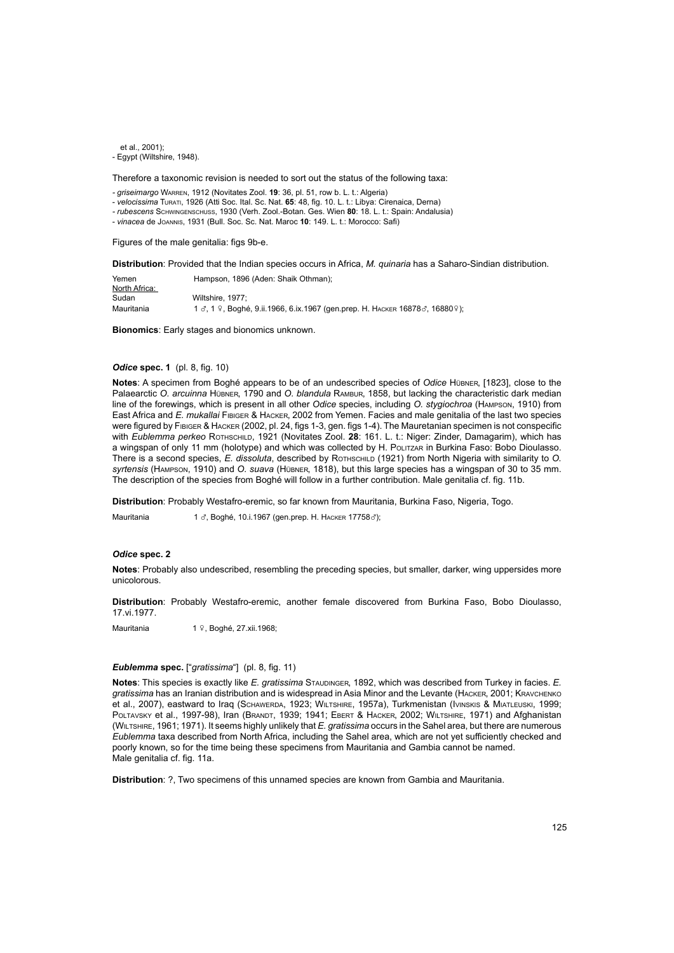$et$  al., 2001); - Egypt (Wiltshire, 1948).

Therefore a taxonomic revision is needed to sort out the status of the following taxa:

*- griseimargo* Warren, 1912 (Novitates Zool. **19**: 36, pl. 51, row b. L. t.: Algeria)

- *velocissima* Turati, 1926 (Atti Soc. Ital. Sc. Nat. **65**: 48, fig. 10. L. t.: Libya: Cirenaica, Derna)

*- rubescens* Schwingenschuss, 1930 (Verh. Zool.-Botan. Ges. Wien **80**: 18. L. t.: Spain: Andalusia)

- *vinacea* de Joannis, 1931 (Bull. Soc. Sc. Nat. Maroc **10**: 149. L. t.: Morocco: Safi)

Figures of the male genitalia: figs 9b-e.

**Distribution**: Provided that the Indian species occurs in Africa, *M. quinaria* has a Saharo-Sindian distribution.

| Yemen         | Hampson, 1896 (Aden: Shaik Othman):                                                                           |
|---------------|---------------------------------------------------------------------------------------------------------------|
| North Africa: |                                                                                                               |
| Sudan         | Wiltshire, 1977:                                                                                              |
| Mauritania    | 1 $\sigma$ , 1 $\Omega$ , Boghé, 9.ii.1966, 6.ix.1967 (gen.prep. H. HACKER 16878 $\sigma$ , 16880 $\Omega$ ); |

**Bionomics**: Early stages and bionomics unknown.

# *Odice* **spec. 1** (pl. 8, fig. 10)

**Notes**: A specimen from Boghé appears to be of an undescribed species of *Odice* Hübner, [1823], close to the Palaearctic *O. arcuinna* Hübner, 1790 and *O. blandula* Rambur, 1858, but lacking the characteristic dark median line of the forewings, which is present in all other *Odice* species, including *O. stygiochroa* (Hampson, 1910) from East Africa and *E. mukallai* Fibiger & Hacker, 2002 from Yemen. Facies and male genitalia of the last two species were figured by Fibiger & Hacker (2002, pl. 24, figs 1-3, gen. figs 1-4). The Mauretanian specimen is not conspecific with *Eublemma perkeo* Rothschild, 1921 (Novitates Zool. **28**: 161. L. t.: Niger: Zinder, Damagarim), which has a wingspan of only 11 mm (holotype) and which was collected by H. Politzar in Burkina Faso: Bobo Dioulasso. There is a second species, *E. dissoluta*, described by Rothschild (1921) from North Nigeria with similarity to *O. syrtensis* (Hampson, 1910) and *O. suava* (Hübner, 1818), but this large species has a wingspan of 30 to 35 mm. The description of the species from Boghé will follow in a further contribution. Male genitalia cf. fig. 11b.

**Distribution**: Probably Westafro-eremic, so far known from Mauritania, Burkina Faso, Nigeria, Togo.

Mauritania 1 $\sigma$ , Boghé, 10.i.1967 (gen.prep. H. HACKER 17758 $\sigma$ );

# *Odice* **spec. 2**

**Notes**: Probably also undescribed, resembling the preceding species, but smaller, darker, wing uppersides more unicolorous.

**Distribution**: Probably Westafro-eremic, another female discovered from Burkina Faso, Bobo Dioulasso, 17.vi.1977.

Mauritania 1 º, Boghé, 27.xii.1968;

# *Eublemma* **spec.** ["*gratissima*"] (pl. 8, fig. 11)

**Notes**: This species is exactly like *E. gratissima* Staudinger, 1892, which was described from Turkey in facies. *E. gratissima* has an Iranian distribution and is widespread in Asia Minor and the Levante (Hacker, 2001; Kravchenko et al., 2007), eastward to Iraq (Schawerda, 1923; Wiltshire, 1957a), Turkmenistan (Ivinskis & Miatleuski, 1999; POLTAVSKY et al., 1997-98), Iran (BRANDT, 1939; 1941; EBERT & HACKER, 2002; WILTSHIRE, 1971) and Afghanistan (Wiltshire, 1961; 1971). It seems highly unlikely that *E. gratissima* occurs in the Sahel area, but there are numerous *Eublemma* taxa described from North Africa, including the Sahel area, which are not yet sufficiently checked and poorly known, so for the time being these specimens from Mauritania and Gambia cannot be named. Male genitalia cf. fig. 11a.

**Distribution**: ?, Two specimens of this unnamed species are known from Gambia and Mauritania.